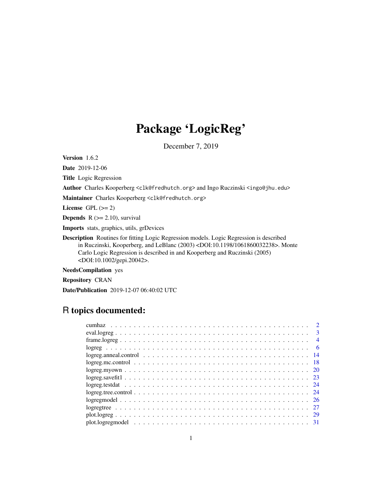# Package 'LogicReg'

December 7, 2019

Version 1.6.2

Date 2019-12-06

Title Logic Regression

Author Charles Kooperberg <clk@fredhutch.org> and Ingo Ruczinski <ingo@jhu.edu>

Maintainer Charles Kooperberg <clk@fredhutch.org>

License GPL  $(>= 2)$ 

**Depends**  $R$  ( $>= 2.10$ ), survival

Imports stats, graphics, utils, grDevices

Description Routines for fitting Logic Regression models. Logic Regression is described in Ruczinski, Kooperberg, and LeBlanc (2003) <DOI:10.1198/1061860032238>. Monte Carlo Logic Regression is described in and Kooperberg and Ruczinski (2005) <DOI:10.1002/gepi.20042>.

NeedsCompilation yes

Repository CRAN

Date/Publication 2019-12-07 06:40:02 UTC

# R topics documented:

| $\overline{2}$ |
|----------------|
| $\overline{3}$ |
| $\overline{4}$ |
| - 6            |
|                |
|                |
|                |
|                |
|                |
|                |
|                |
|                |
|                |
|                |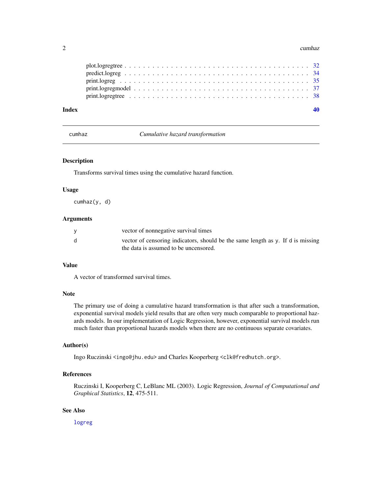#### <span id="page-1-0"></span>2 cumhaz cumhaz cumhaz cumhaz cumhaz cumhaz cumhaz cumhaz cumhaz cumhaz cumhaz cumhaz cumhaz cumhaz cumhaz cu

| Index |  |  |
|-------|--|--|
|       |  |  |
|       |  |  |
|       |  |  |
|       |  |  |
|       |  |  |

cumhaz *Cumulative hazard transformation*

# Description

Transforms survival times using the cumulative hazard function.

# Usage

cumhaz(y, d)

#### Arguments

|     | vector of nonnegative survival times                                                                                     |
|-----|--------------------------------------------------------------------------------------------------------------------------|
| - d | vector of censoring indicators, should be the same length as y. If d is missing<br>the data is assumed to be uncensored. |

# Value

A vector of transformed survival times.

# Note

The primary use of doing a cumulative hazard transformation is that after such a transformation, exponential survival models yield results that are often very much comparable to proportional hazards models. In our implementation of Logic Regression, however, exponential survival models run much faster than proportional hazards models when there are no continuous separate covariates.

#### Author(s)

Ingo Ruczinski <ingo@jhu.edu> and Charles Kooperberg <clk@fredhutch.org>.

# References

Ruczinski I, Kooperberg C, LeBlanc ML (2003). Logic Regression, *Journal of Computational and Graphical Statistics*, 12, 475-511.

# See Also

[logreg](#page-5-1)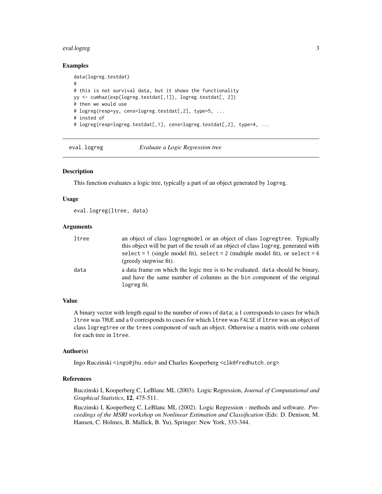#### <span id="page-2-0"></span>eval.logreg 3

#### Examples

```
data(logreg.testdat)
#
# this is not survival data, but it shows the functionality
yy <- cumhaz(exp(logreg.testdat[,1]), logreg.testdat[, 2])
# then we would use
# logreg(resp=yy, cens=logreg.testdat[,2], type=5, ...
# insted of
# logreg(resp=logreg.testdat[,1], cens=logreg.testdat[,2], type=4, ...
```
<span id="page-2-1"></span>eval.logreg *Evaluate a Logic Regression tree*

#### Description

This function evaluates a logic tree, typically a part of an object generated by logreg.

#### Usage

```
eval.logreg(ltree, data)
```
#### Arguments

| ltree | an object of class logregmodel or an object of class logregtree. Typically                                                                                                 |
|-------|----------------------------------------------------------------------------------------------------------------------------------------------------------------------------|
|       | this object will be part of the result of an object of class logreg, generated with                                                                                        |
|       | select = 1 (single model fit), select = 2 (multiple model fit), or select = 6<br>(greedy stepwise fit).                                                                    |
| data  | a data frame on which the logic tree is to be evaluated. data should be binary,<br>and have the same number of columns as the bin component of the original<br>logreg fit. |

#### Value

A binary vector with length equal to the number of rows of data; a 1 corresponds to cases for which ltree was TRUE and a 0 corresponds to cases for which ltree was FALSE if ltree was an object of class logregtree or the trees component of such an object. Otherwise a matrix with one column for each tree in ltree.

#### Author(s)

Ingo Ruczinski <ingo@jhu.edu> and Charles Kooperberg <clk@fredhutch.org>

#### References

Ruczinski I, Kooperberg C, LeBlanc ML (2003). Logic Regression, *Journal of Computational and Graphical Statistics*, 12, 475-511.

Ruczinski I, Kooperberg C, LeBlanc ML (2002). Logic Regression - methods and software. *Proceedings of the MSRI workshop on Nonlinear Estimation and Classification* (Eds: D. Denison, M. Hansen, C. Holmes, B. Mallick, B. Yu), Springer: New York, 333-344.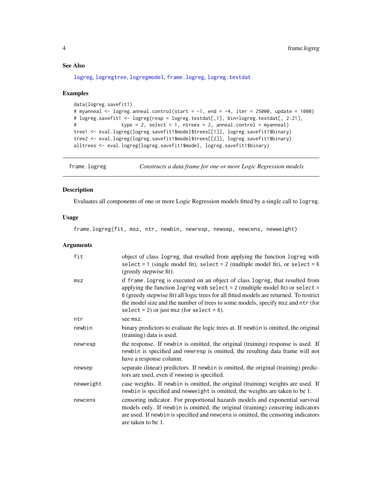# See Also

[logreg](#page-5-1), [logregtree](#page-26-1), [logregmodel](#page-25-1), [frame.logreg](#page-3-1), [logreg.testdat](#page-23-1)

# Examples

```
data(logreg.savefit1)
# myanneal <- logreg.anneal.control(start = -1, end = -4, iter = 25000, update = 1000)
# logreg.savefit1 <- logreg(resp = logreg.testdat[,1], bin=logreg.testdat[, 2:21],
# type = 2, select = 1, ntrees = 2, anneal.control = myanneal)
tree1 <- eval.logreg(logreg.savefit1$model$trees[[1]], logreg.savefit1$binary)
tree2 <- eval.logreg(logreg.savefit1$model$trees[[2]], logreg.savefit1$binary)
alltrees <- eval.logreg(logreg.savefit1$model, logreg.savefit1$binary)
```
<span id="page-3-1"></span>frame.logreg *Constructs a data frame for one or more Logic Regression models*

# Description

Evaluates all components of one or more Logic Regression models fitted by a single call to logreg.

#### Usage

frame.logreg(fit, msz, ntr, newbin, newresp, newsep, newcens, newweight)

#### Arguments

| fit       | object of class logreg, that resulted from applying the function logreg with<br>select = 1 (single model fit), select = 2 (multiple model fit), or select = $6$<br>(greedy stepwise fit).                                                                                                                                                                                                        |
|-----------|--------------------------------------------------------------------------------------------------------------------------------------------------------------------------------------------------------------------------------------------------------------------------------------------------------------------------------------------------------------------------------------------------|
| msz       | if frame. logreg is executed on an object of class logreg, that resulted from<br>applying the function logreg with select $= 2$ (multiple model fit) or select $=$<br>6 (greedy stepwise fit) all logic trees for all fitted models are returned. To restrict<br>the model size and the number of trees to some models, specify msz and ntr (for<br>select = 2) or just msz (for select = $6$ ). |
| ntr       | see msz.                                                                                                                                                                                                                                                                                                                                                                                         |
| newbin    | binary predictors to evaluate the logic trees at. If newbin is omitted, the original<br>(training) data is used.                                                                                                                                                                                                                                                                                 |
| newresp   | the response. If newbin is omitted, the original (training) response is used. If<br>newbin is specified and newresp is omitted, the resulting data frame will not<br>have a response column.                                                                                                                                                                                                     |
| newsep    | separate (linear) predictors. If newbin is omitted, the original (training) predic-<br>tors are used, even if newsep is specified.                                                                                                                                                                                                                                                               |
| newweight | case weights. If newbin is omitted, the original (training) weights are used. If<br>newbin is specified and newweight is omitted, the weights are taken to be 1.                                                                                                                                                                                                                                 |
| newcens   | censoring indicator. For proportional hazards models and exponential survival<br>models only. If newbin is omitted, the original (training) censoring indicators<br>are used. If newbin is specified and newcens is omitted, the censoring indicators<br>are taken to be 1.                                                                                                                      |

<span id="page-3-0"></span>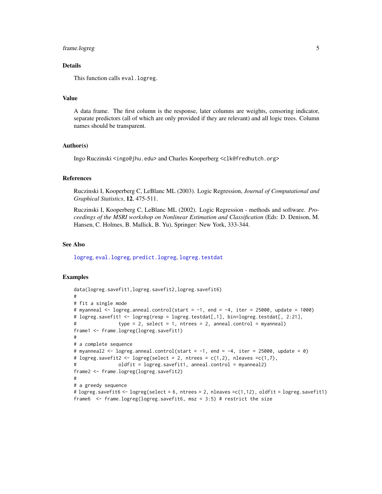# <span id="page-4-0"></span>frame.logreg 5

# **Details**

This function calls eval.logreg.

#### Value

A data frame. The first column is the response, later columns are weights, censoring indicator, separate predictors (all of which are only provided if they are relevant) and all logic trees. Column names should be transparent.

#### Author(s)

Ingo Ruczinski <ingo@jhu.edu> and Charles Kooperberg <clk@fredhutch.org>

# References

Ruczinski I, Kooperberg C, LeBlanc ML (2003). Logic Regression, *Journal of Computational and Graphical Statistics*, 12, 475-511.

Ruczinski I, Kooperberg C, LeBlanc ML (2002). Logic Regression - methods and software. *Proceedings of the MSRI workshop on Nonlinear Estimation and Classification* (Eds: D. Denison, M. Hansen, C. Holmes, B. Mallick, B. Yu), Springer: New York, 333-344.

#### See Also

[logreg](#page-5-1), [eval.logreg](#page-2-1), [predict.logreg](#page-33-1), [logreg.testdat](#page-23-1)

#### Examples

```
data(logreg.savefit1,logreg.savefit2,logreg.savefit6)
#
# fit a single mode
# myanneal <- logreg.anneal.control(start = -1, end = -4, iter = 25000, update = 1000)
# logreg.savefit1 <- logreg(resp = logreg.testdat[,1], bin=logreg.testdat[, 2:21],
# type = 2, select = 1, ntrees = 2, anneal.control = myanneal)
frame1 <- frame.logreg(logreg.savefit1)
#
# a complete sequence
# myanneal2 <- logreg.anneal.control(start = -1, end = -4, iter = 25000, update = 0)
# logreg.savefit2 <- logreg(select = 2, ntrees = c(1,2), nleaves =c(1,7),
# oldfit = logreg.savefit1, anneal.control = myanneal2)
frame2 <- frame.logreg(logreg.savefit2)
#
# a greedy sequence
# logreg.savefit6 <- logreg(select = 6, ntrees = 2, nleaves =c(1,12), oldfit = logreg.savefit1)
frame6 <- frame.logreg(logreg.savefit6, msz = 3:5) # restrict the size
```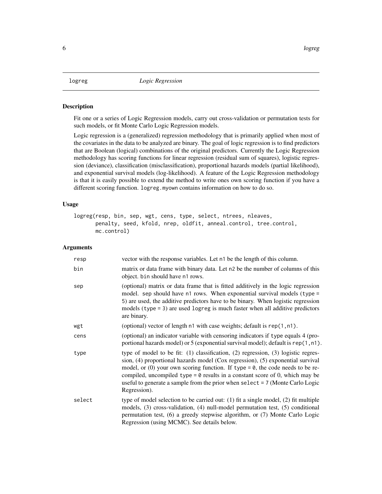#### <span id="page-5-1"></span><span id="page-5-0"></span>Description

Fit one or a series of Logic Regression models, carry out cross-validation or permutation tests for such models, or fit Monte Carlo Logic Regression models.

Logic regression is a (generalized) regression methodology that is primarily applied when most of the covariates in the data to be analyzed are binary. The goal of logic regression is to find predictors that are Boolean (logical) combinations of the original predictors. Currently the Logic Regression methodology has scoring functions for linear regression (residual sum of squares), logistic regression (deviance), classification (misclassification), proportional hazards models (partial likelihood), and exponential survival models (log-likelihood). A feature of the Logic Regression methodology is that it is easily possible to extend the method to write ones own scoring function if you have a different scoring function. logreg.myown contains information on how to do so.

#### Usage

```
logreg(resp, bin, sep, wgt, cens, type, select, ntrees, nleaves,
       penalty, seed, kfold, nrep, oldfit, anneal.control, tree.control,
      mc.control)
```
# Arguments

| resp   | vector with the response variables. Let n1 be the length of this column.                                                                                                                                                                                                                                                                                                                                                                                     |
|--------|--------------------------------------------------------------------------------------------------------------------------------------------------------------------------------------------------------------------------------------------------------------------------------------------------------------------------------------------------------------------------------------------------------------------------------------------------------------|
| bin    | matrix or data frame with binary data. Let n2 be the number of columns of this<br>object. bin should have n1 rows.                                                                                                                                                                                                                                                                                                                                           |
| sep    | (optional) matrix or data frame that is fitted additively in the logic regression<br>model. sep should have $n1$ rows. When exponential survival models (type =<br>5) are used, the additive predictors have to be binary. When logistic regression<br>models (type $= 3$ ) are used logreg is much faster when all additive predictors<br>are binary.                                                                                                       |
| wgt    | (optional) vector of length n1 with case weights; default is rep(1, n1).                                                                                                                                                                                                                                                                                                                                                                                     |
| cens   | (optional) an indicator variable with censoring indicators if type equals 4 (pro-<br>portional hazards model) or 5 (exponential survival model); default is rep(1, n1).                                                                                                                                                                                                                                                                                      |
| type   | type of model to be fit: $(1)$ classification, $(2)$ regression, $(3)$ logistic regres-<br>sion, (4) proportional hazards model (Cox regression), (5) exponential survival<br>model, or (0) your own scoring function. If type = $\theta$ , the code needs to be re-<br>compiled, uncompiled type = $\theta$ results in a constant score of 0, which may be<br>useful to generate a sample from the prior when select = 7 (Monte Carlo Logic<br>Regression). |
| select | type of model selection to be carried out: (1) fit a single model, (2) fit multiple<br>models, (3) cross-validation, (4) null-model permutation test, (5) conditional<br>permutation test, (6) a greedy stepwise algorithm, or (7) Monte Carlo Logic<br>Regression (using MCMC). See details below.                                                                                                                                                          |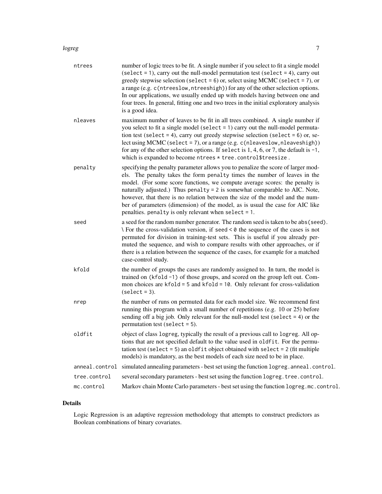#### logreg that the contract of the contract of the contract of the contract of the contract of the contract of the contract of the contract of the contract of the contract of the contract of the contract of the contract of th

| ntrees         | number of logic trees to be fit. A single number if you select to fit a single model<br>$(self = 1)$ , carry out the null-model permutation test (select = 4), carry out<br>greedy stepwise selection (select = $6$ ) or, select using MCMC (select = $7$ ), or<br>a range (e.g. c(ntreeslow, ntreeshigh)) for any of the other selection options.<br>In our applications, we usually ended up with models having between one and<br>four trees. In general, fitting one and two trees in the initial exploratory analysis<br>is a good idea.             |
|----------------|-----------------------------------------------------------------------------------------------------------------------------------------------------------------------------------------------------------------------------------------------------------------------------------------------------------------------------------------------------------------------------------------------------------------------------------------------------------------------------------------------------------------------------------------------------------|
| nleaves        | maximum number of leaves to be fit in all trees combined. A single number if<br>you select to fit a single model (select $= 1$ ) carry out the null-model permuta-<br>tion test (select = 4), carry out greedy stepwise selection (select = $6$ ) or, se-<br>lect using MCMC (select = 7), or a range (e.g. $c$ (nleaveslow, nleaveshigh))<br>for any of the other selection options. If select is $1, 4, 6$ , or 7, the default is $-1$ ,<br>which is expanded to become ntrees * tree.control\$treesize.                                                |
| penalty        | specifying the penalty parameter allows you to penalize the score of larger mod-<br>els. The penalty takes the form penalty times the number of leaves in the<br>model. (For some score functions, we compute average scores: the penalty is<br>naturally adjusted.) Thus penalty = $2$ is somewhat comparable to AIC. Note,<br>however, that there is no relation between the size of the model and the num-<br>ber of parameters (dimension) of the model, as is usual the case for AIC like<br>penalties. penalty is only relevant when select $= 1$ . |
| seed           | a seed for the random number generator. The random seed is taken to be abs (seed).<br>$\setminus$ For the cross-validation version, if seed < 0 the sequence of the cases is not<br>permuted for division in training-test sets. This is useful if you already per-<br>muted the sequence, and wish to compare results with other approaches, or if<br>there is a relation between the sequence of the cases, for example for a matched<br>case-control study.                                                                                            |
| kfold          | the number of groups the cases are randomly assigned to. In turn, the model is<br>trained on (kfold -1) of those groups, and scored on the group left out. Com-<br>mon choices are $kfold = 5$ and $kfold = 10$ . Only relevant for cross-validation<br>$(self = 3).$                                                                                                                                                                                                                                                                                     |
| nrep           | the number of runs on permuted data for each model size. We recommend first<br>running this program with a small number of repetitions (e.g. 10 or 25) before<br>sending off a big job. Only relevant for the null-model test (select $= 4$ ) or the<br>permutation test (select $= 5$ ).                                                                                                                                                                                                                                                                 |
| oldfit         | object of class logreg, typically the result of a previous call to logreg. All op-<br>tions that are not specified default to the value used in oldfit. For the permu-<br>tation test (select = 5) an oldfit object obtained with select = $2$ (fit multiple<br>models) is mandatory, as the best models of each size need to be in place.                                                                                                                                                                                                                |
| anneal.control | simulated annealing parameters - best set using the function logreg. anneal.control.                                                                                                                                                                                                                                                                                                                                                                                                                                                                      |
| tree.control   | several secondary parameters - best set using the function logreg. tree. control.                                                                                                                                                                                                                                                                                                                                                                                                                                                                         |
| mc.control     | Markov chain Monte Carlo parameters - best set using the function logreg.mc.control.                                                                                                                                                                                                                                                                                                                                                                                                                                                                      |

# Details

Logic Regression is an adaptive regression methodology that attempts to construct predictors as Boolean combinations of binary covariates.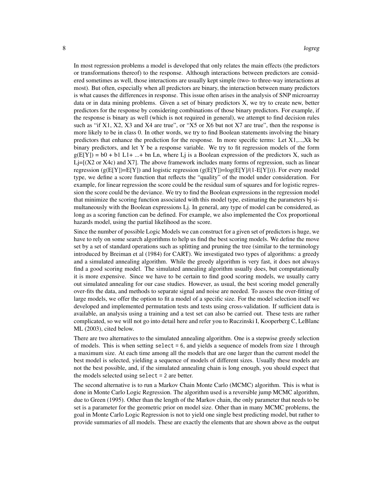In most regression problems a model is developed that only relates the main effects (the predictors or transformations thereof) to the response. Although interactions between predictors are considered sometimes as well, those interactions are usually kept simple (two- to three-way interactions at most). But often, especially when all predictors are binary, the interaction between many predictors is what causes the differences in response. This issue often arises in the analysis of SNP microarray data or in data mining problems. Given a set of binary predictors X, we try to create new, better predictors for the response by considering combinations of those binary predictors. For example, if the response is binary as well (which is not required in general), we attempt to find decision rules such as "if X1, X2, X3 and X4 are true", or "X5 or X6 but not X7 are true", then the response is more likely to be in class 0. In other words, we try to find Boolean statements involving the binary predictors that enhance the prediction for the response. In more specific terms: Let X1,...,Xk be binary predictors, and let Y be a response variable. We try to fit regression models of the form  $g(E[Y]) = b0 + b1 L1 + ... + bn Ln$ , where L<sub>j</sub> is a Boolean expression of the predictors X, such as  $L = [X2 \text{ or } X4c)$  and X7]. The above framework includes many forms of regression, such as linear regression (g( $E[Y]$ )=E[Y]) and logistic regression (g( $E[Y]$ )=log( $E[Y]/(1-E[Y])$ )). For every model type, we define a score function that reflects the "quality" of the model under consideration. For example, for linear regression the score could be the residual sum of squares and for logistic regression the score could be the deviance. We try to find the Boolean expressions in the regression model that minimize the scoring function associated with this model type, estimating the parameters bj simultaneously with the Boolean expressions Lj. In general, any type of model can be considered, as long as a scoring function can be defined. For example, we also implemented the Cox proportional hazards model, using the partial likelihood as the score.

Since the number of possible Logic Models we can construct for a given set of predictors is huge, we have to rely on some search algorithms to help us find the best scoring models. We define the move set by a set of standard operations such as splitting and pruning the tree (similar to the terminology introduced by Breiman et al (1984) for CART). We investigated two types of algorithms: a greedy and a simulated annealing algorithm. While the greedy algorithm is very fast, it does not always find a good scoring model. The simulated annealing algorithm usually does, but computationally it is more expensive. Since we have to be certain to find good scoring models, we usually carry out simulated annealing for our case studies. However, as usual, the best scoring model generally over-fits the data, and methods to separate signal and noise are needed. To assess the over-fitting of large models, we offer the option to fit a model of a specific size. For the model selection itself we developed and implemented permutation tests and tests using cross-validation. If sufficient data is available, an analysis using a training and a test set can also be carried out. These tests are rather complicated, so we will not go into detail here and refer you to Ruczinski I, Kooperberg C, LeBlanc ML (2003), cited below.

There are two alternatives to the simulated annealing algorithm. One is a stepwise greedy selection of models. This is when setting select = 6, and yields a sequence of models from size 1 through a maximum size. At each time among all the models that are one larger than the current model the best model is selected, yielding a sequence of models of different sizes. Usually these models are not the best possible, and, if the simulated annealing chain is long enough, you should expect that the models selected using select = 2 are better.

The second alternative is to run a Markov Chain Monte Carlo (MCMC) algorithm. This is what is done in Monte Carlo Logic Regression. The algorithm used is a reversible jump MCMC algorithm, due to Green (1995). Other than the length of the Markov chain, the only parameter that needs to be set is a parameter for the geometric prior on model size. Other than in many MCMC problems, the goal in Monte Carlo Logic Regression is not to yield one single best predicting model, but rather to provide summaries of all models. These are exactly the elements that are shown above as the output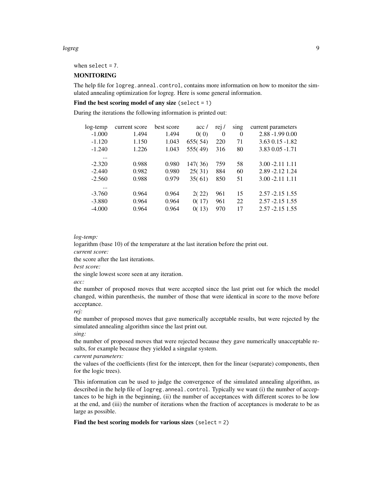#### logreg that the contract of the contract of the contract of the contract of the contract of the contract of the contract of the contract of the contract of the contract of the contract of the contract of the contract of th

when select = 7.

# MONITORING

The help file for logreg.anneal.control, contains more information on how to monitor the simulated annealing optimization for logreg. Here is some general information.

# Find the best scoring model of any size (select  $= 1$ )

During the iterations the following information is printed out:

| log-temp | current score | best score | acc/    | rej/     | sing     | current parameters |
|----------|---------------|------------|---------|----------|----------|--------------------|
| $-1.000$ | 1.494         | 1.494      | 0(0)    | $\Omega$ | $\Omega$ | $2.88 - 1.99 0.00$ |
| $-1.120$ | 1.150         | 1.043      | 655(54) | 220      | 71       | $3.63$ 0.15 -1.82  |
| $-1.240$ | 1.226         | 1.043      | 555(49) | 316      | 80       | 3.83 0.05 -1.71    |
| $\cdots$ |               |            |         |          |          |                    |
| $-2.320$ | 0.988         | 0.980      | 147(36) | 759      | 58       | $3.00 - 2.11$ 1.11 |
| $-2.440$ | 0.982         | 0.980      | 25(31)  | 884      | 60       | 2.89 - 2.12 1.24   |
| $-2.560$ | 0.988         | 0.979      | 35(61)  | 850      | 51       | $3.00 - 2.11$ 1.11 |
| $\cdots$ |               |            |         |          |          |                    |
| $-3.760$ | 0.964         | 0.964      | 2(22)   | 961      | 15       | $2.57 - 2.15$ 1.55 |
| $-3.880$ | 0.964         | 0.964      | 0(17)   | 961      | 22       | $2.57 - 2.15$ 1.55 |
| $-4.000$ | 0.964         | 0.964      | 0(13)   | 970      | 17       | $2.57 - 2.15$ 1.55 |

# *log-temp:*

logarithm (base 10) of the temperature at the last iteration before the print out.

*current score:*

the score after the last iterations.

*best score:*

the single lowest score seen at any iteration.

*acc:*

the number of proposed moves that were accepted since the last print out for which the model changed, within parenthesis, the number of those that were identical in score to the move before acceptance.

*rej:*

the number of proposed moves that gave numerically acceptable results, but were rejected by the simulated annealing algorithm since the last print out.

*sing:*

the number of proposed moves that were rejected because they gave numerically unacceptable results, for example because they yielded a singular system.

*current parameters:*

the values of the coefficients (first for the intercept, then for the linear (separate) components, then for the logic trees).

This information can be used to judge the convergence of the simulated annealing algorithm, as described in the help file of logreg. anneal.control. Typically we want (i) the number of acceptances to be high in the beginning, (ii) the number of acceptances with different scores to be low at the end, and (iii) the number of iterations when the fraction of acceptances is moderate to be as large as possible.

Find the best scoring models for various sizes (select  $= 2$ )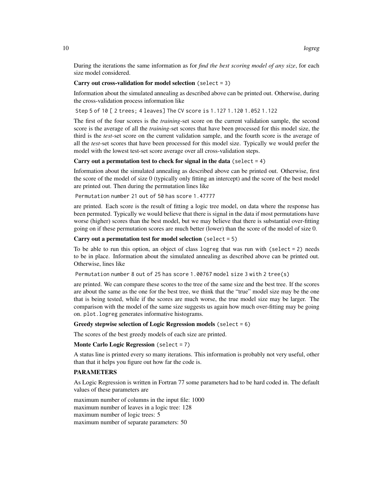During the iterations the same information as for *find the best scoring model of any size*, for each size model considered.

#### Carry out cross-validation for model selection (select  $= 3$ )

Information about the simulated annealing as described above can be printed out. Otherwise, during the cross-validation process information like

Step 5 of 10 [ 2 trees; 4 leaves] The CV score is 1.127 1.120 1.052 1.122

The first of the four scores is the *training*-set score on the current validation sample, the second score is the average of all the *training*-set scores that have been processed for this model size, the third is the *test*-set score on the current validation sample, and the fourth score is the average of all the *test*-set scores that have been processed for this model size. Typically we would prefer the model with the lowest test-set score average over all cross-validation steps.

#### Carry out a permutation test to check for signal in the data (select  $= 4$ )

Information about the simulated annealing as described above can be printed out. Otherwise, first the score of the model of size 0 (typically only fitting an intercept) and the score of the best model are printed out. Then during the permutation lines like

Permutation number 21 out of 50 has score 1.47777

are printed. Each score is the result of fitting a logic tree model, on data where the response has been permuted. Typically we would believe that there is signal in the data if most permutations have worse (higher) scores than the best model, but we may believe that there is substantial over-fitting going on if these permutation scores are much better (lower) than the score of the model of size 0.

#### Carry out a permutation test for model selection (select  $= 5$ )

To be able to run this option, an object of class logreg that was run with (select = 2) needs to be in place. Information about the simulated annealing as described above can be printed out. Otherwise, lines like

Permutation number 8 out of 25 has score 1.00767 model size 3 with 2 tree(s)

are printed. We can compare these scores to the tree of the same size and the best tree. If the scores are about the same as the one for the best tree, we think that the "true" model size may be the one that is being tested, while if the scores are much worse, the true model size may be larger. The comparison with the model of the same size suggests us again how much over-fitting may be going on. plot.logreg generates informative histograms.

#### Greedy stepwise selection of Logic Regression models (select  $= 6$ )

The scores of the best greedy models of each size are printed.

#### Monte Carlo Logic Regression (select = 7)

A status line is printed every so many iterations. This information is probably not very useful, other than that it helps you figure out how far the code is.

# PARAMETERS

As Logic Regression is written in Fortran 77 some parameters had to be hard coded in. The default values of these parameters are

maximum number of columns in the input file: 1000 maximum number of leaves in a logic tree: 128 maximum number of logic trees: 5 maximum number of separate parameters: 50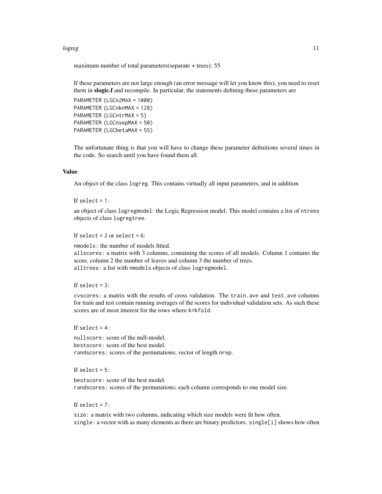#### logreg that the contract of the contract of the contract of the contract of the contract of the contract of the contract of the contract of the contract of the contract of the contract of the contract of the contract of th

maximum number of total parameters(separate + trees): 55

If these parameters are not large enough (an error message will let you know this), you need to reset them in slogic.f and recompile. In particular, the statements defining these parameters are

```
PARAMETER (LGCn2MAX = 1000)
PARAMETER (LGCnknMAX = 128)
PARAMETER (LGCntrMAX = 5)
PARAMETER (LGCnsepMAX = 50)
PARAMETER (LGCbetaMAX = 55)
```
The unfortunate thing is that you will have to change these parameter definitions several times in the code. So search until you have found them all.

# Value

An object of the class logreg. This contains virtually all input parameters, and in addition

#### If select  $= 1$ :

an object of class logregmodel: the Logic Regression model. This model contains a list of ntrees objects of class logregtree.

#### If select  $= 2$  or select  $= 6$ :

nmodels: the number of models fitted.

allscores: a matrix with 3 columns, containing the scores of all models. Column 1 contains the score, column 2 the number of leaves and column 3 the number of trees. alltrees: a list with nmodels objects of class logregmodel.

If select  $= 3$ :

cvscores: a matrix with the results of cross validation. The train.ave and test.ave columns for train and test contain running averages of the scores for individual validation sets. As such these scores are of most interest for the rows where k=kfold.

#### If select  $= 4$ :

nullscore: score of the null-model. bestscore: score of the best model. randscores: scores of the permutations; vector of length nrep.

# If select  $= 5$ :

bestscore: score of the best model. randscores: scores of the permutations; each column corresponds to one model size.

If select  $= 7$ :

size: a matrix with two columns, indicating which size models were fit how often. single: a vector with as many elements as there are binary predictors. single[i] shows how often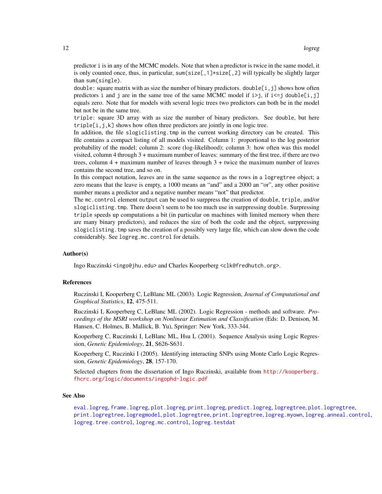<span id="page-11-0"></span>predictor i is in any of the MCMC models. Note that when a predictor is twice in the same model, it is only counted once, thus, in particular, sum(size[,1] $\star$ size[,2] will typically be slightly larger than sum(single).

double: square matrix with as size the number of binary predictors. double  $[i, j]$  shows how often predictors i and j are in the same tree of the same MCMC model if  $i > j$ , if  $i < = j$  double[i, j] equals zero. Note that for models with several logic trees two predictors can both be in the model but not be in the same tree.

triple: square 3D array with as size the number of binary predictors. See double, but here triple $[i, j, k]$  shows how often three predictors are jointly in one logic tree.

In addition, the file slogiclisting.tmp in the current working directory can be created. This file contains a compact listing of all models visited. Column 1: proportional to the log posterior probability of the model; column 2: score (log-likelihood); column 3: how often was this model visited, column 4 through 3 + maximum number of leaves: summary of the first tree, if there are two trees, column  $4 +$  maximum number of leaves through  $3 +$  twice the maximum number of leaves contains the second tree, and so on.

In this compact notation, leaves are in the same sequence as the rows in a logregtree object; a zero means that the leave is empty, a 1000 means an "and" and a 2000 an "or", any other positive number means a predictor and a negative number means "not" that predictor.

The mc.control element output can be used to surppress the creation of double, triple, and/or slogiclisting.tmp. There doesn't seem to be too much use in surppressing double. Surpressing triple speeds up computations a bit (in particular on machines with limited memory when there are many binary predictors), and reduces the size of both the code and the object, surppressing slogiclisting.tmp saves the creation of a possibly very large file, which can slow down the code considerably. See logreg.mc.control for details.

#### Author(s)

Ingo Ruczinski <ingo@jhu.edu> and Charles Kooperberg <clk@fredhutch.org>.

#### References

Ruczinski I, Kooperberg C, LeBlanc ML (2003). Logic Regression, *Journal of Computational and Graphical Statistics*, 12, 475-511.

Ruczinski I, Kooperberg C, LeBlanc ML (2002). Logic Regression - methods and software. *Proceedings of the MSRI workshop on Nonlinear Estimation and Classification* (Eds: D. Denison, M. Hansen, C. Holmes, B. Mallick, B. Yu), Springer: New York, 333-344.

Kooperberg C, Ruczinski I, LeBlanc ML, Hsu L (2001). Sequence Analysis using Logic Regression, *Genetic Epidemiology*, 21, S626-S631.

Kooperberg C, Ruczinki I (2005). Identifying interacting SNPs using Monte Carlo Logic Regression, *Genetic Epidemiology*, 28, 157-170.

Selected chapters from the dissertation of Ingo Ruczinski, available from [http://kooperberg.](http://kooperberg.fhcrc.org/logic/documents/ingophd-logic.pdf) [fhcrc.org/logic/documents/ingophd-logic.pdf](http://kooperberg.fhcrc.org/logic/documents/ingophd-logic.pdf)

#### See Also

[eval.logreg](#page-2-1), [frame.logreg](#page-3-1), [plot.logreg](#page-28-1), [print.logreg](#page-34-1), [predict.logreg](#page-33-1), [logregtree](#page-26-1), [plot.logregtree](#page-31-1), [print.logregtree](#page-37-1), [logregmodel](#page-25-1), [plot.logregtree](#page-31-1), [print.logregtree](#page-37-1), [logreg.myown](#page-19-1), [logreg.anneal.control](#page-13-1), [logreg.tree.control](#page-23-2), [logreg.mc.control](#page-17-1), [logreg.testdat](#page-23-1)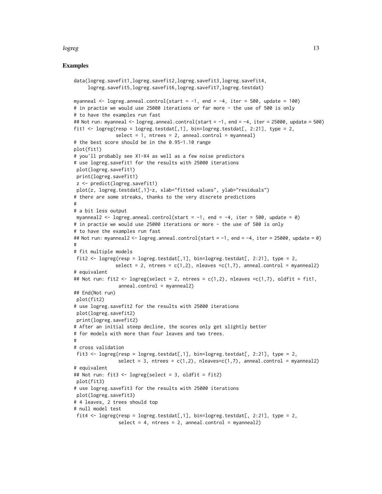#### logreg that the contract of the contract of the contract of the contract of the contract of the contract of the contract of the contract of the contract of the contract of the contract of the contract of the contract of th

#### Examples

```
data(logreg.savefit1,logreg.savefit2,logreg.savefit3,logreg.savefit4,
     logreg.savefit5,logreg.savefit6,logreg.savefit7,logreg.testdat)
myanneal \leq logreg.anneal.control(start = -1, end = -4, iter = 500, update = 100)
# in practie we would use 25000 iterations or far more - the use of 500 is only
# to have the examples run fast
## Not run: myanneal <- logreg.anneal.control(start = -1, end = -4, iter = 25000, update = 500)
fit1 \leq logreg(resp = logreg.testdat[,1], bin=logreg.testdat[, 2:21], type = 2,
               select = 1, ntrees = 2, anneal.control = myanneal)# the best score should be in the 0.95-1.10 range
plot(fit1)
# you'll probably see X1-X4 as well as a few noise predictors
# use logreg.savefit1 for the results with 25000 iterations
plot(logreg.savefit1)
print(logreg.savefit1)
z <- predict(logreg.savefit1)
plot(z, logreg.testdat[,1]-z, xlab="fitted values", ylab="residuals")
# there are some streaks, thanks to the very discrete predictions
#
# a bit less output
myanneal2 \leq logreg.anneal.control(start = -1, end = -4, iter = 500, update = 0)
# in practie we would use 25000 iterations or more - the use of 500 is only
# to have the examples run fast
## Not run: myanneal2 <- logreg.anneal.control(start = -1, end = -4, iter = 25000, update = 0)
#
# fit multiple models
fit2 \leftarrow logreg(resp = logreg.testdat[,1], bin=logreg.testdat[, 2:21], type = 2,
               select = 2, ntrees = c(1,2), nleaves =c(1,7), anneal.control = myanneal2)
# equivalent
## Not run: fit2 <- logreg(select = 2, ntrees = c(1,2), nleaves =c(1,7), oldfit = fit1,
                anneal.control = myanneal2)
## End(Not run)
plot(fit2)
# use logreg.savefit2 for the results with 25000 iterations
plot(logreg.savefit2)
print(logreg.savefit2)
# After an initial steep decline, the scores only get slightly better
# for models with more than four leaves and two trees.
#
# cross validation
fit3 \leq logreg(resp = logreg.testdat[,1], bin=logreg.testdat[, 2:21], type = 2,
                select = 3, ntrees = c(1,2), nleaves=c(1,7), anneal.control = myanneal2)
# equivalent
## Not run: fit3 <- logreg(select = 3, oldfit = fit2)
plot(fit3)
# use logreg.savefit3 for the results with 25000 iterations
plot(logreg.savefit3)
# 4 leaves, 2 trees should top
# null model test
fit4 <- logreg(resp = logreg.testdat[,1], bin=logreg.testdat[, 2:21], type = 2,
                select = 4, ntrees = 2, anneal.contrib = myanneal2
```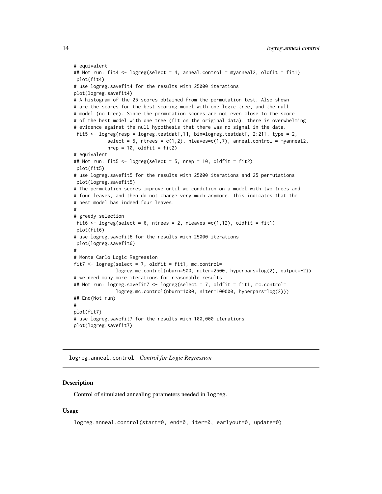```
# equivalent
## Not run: fit4 <- logreg(select = 4, anneal.control = myanneal2, oldfit = fit1)
plot(fit4)
# use logreg.savefit4 for the results with 25000 iterations
plot(logreg.savefit4)
# A histogram of the 25 scores obtained from the permutation test. Also shown
# are the scores for the best scoring model with one logic tree, and the null
# model (no tree). Since the permutation scores are not even close to the score
# of the best model with one tree (fit on the original data), there is overwhelming
# evidence against the null hypothesis that there was no signal in the data.
fit5 <- logreg(resp = logreg.testdat[,1], bin=logreg.testdat[, 2:21], type = 2,
            select = 5, ntrees = c(1,2), nleaves=c(1,7), anneal.control = myanneal2,
            nrep = 10, oldfit = fit2)
# equivalent
## Not run: fit5 <- logreg(select = 5, nrep = 10, oldfit = fit2)
plot(fit5)
# use logreg.savefit5 for the results with 25000 iterations and 25 permutations
plot(logreg.savefit5)
# The permutation scores improve until we condition on a model with two trees and
# four leaves, and then do not change very much anymore. This indicates that the
# best model has indeed four leaves.
#
# greedy selection
fit6 \leq logreg(select = 6, ntrees = 2, nleaves = c(1,12), oldfit = fit1)
plot(fit6)
# use logreg.savefit6 for the results with 25000 iterations
plot(logreg.savefit6)
#
# Monte Carlo Logic Regression
fit7 <- logreg(select = 7, oldfit = fit1, mc.control=
              logreg.mc.control(nburn=500, niter=2500, hyperpars=log(2), output=-2))
# we need many more iterations for reasonable results
## Not run: logreg.savefit7 <- logreg(select = 7, oldfit = fit1, mc.control=
               logreg.mc.control(nburn=1000, niter=100000, hyperpars=log(2)))
## End(Not run)
#
plot(fit7)
# use logreg.savefit7 for the results with 100,000 iterations
plot(logreg.savefit7)
```
<span id="page-13-1"></span>logreg.anneal.control *Control for Logic Regression*

#### Description

Control of simulated annealing parameters needed in logreg.

#### Usage

```
logreg.anneal.control(start=0, end=0, iter=0, earlyout=0, update=0)
```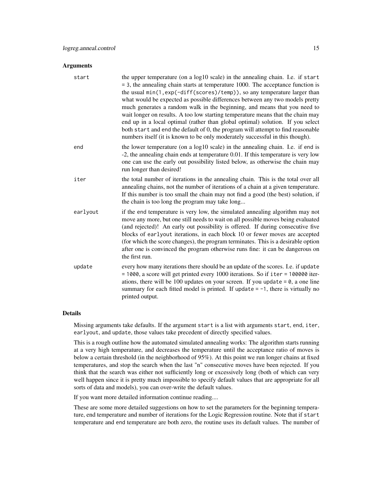#### **Arguments**

| start    | the upper temperature (on a log10 scale) in the annealing chain. I.e. if start<br>$=$ 3, the annealing chain starts at temperature 1000. The acceptance function is<br>the usual min(1,exp(-diff(scores)/temp)), so any temperature larger than<br>what would be expected as possible differences between any two models pretty<br>much generates a random walk in the beginning, and means that you need to<br>wait longer on results. A too low starting temperature means that the chain may<br>end up in a local optimal (rather than global optimal) solution. If you select<br>both start and end the default of 0, the program will attempt to find reasonable<br>numbers itself (it is known to be only moderately successful in this though). |
|----------|--------------------------------------------------------------------------------------------------------------------------------------------------------------------------------------------------------------------------------------------------------------------------------------------------------------------------------------------------------------------------------------------------------------------------------------------------------------------------------------------------------------------------------------------------------------------------------------------------------------------------------------------------------------------------------------------------------------------------------------------------------|
| end      | the lower temperature (on a log10 scale) in the annealing chain. I.e. if end is<br>-2, the annealing chain ends at temperature 0.01. If this temperature is very low<br>one can use the early out possibility listed below, as otherwise the chain may<br>run longer than desired!                                                                                                                                                                                                                                                                                                                                                                                                                                                                     |
| iter     | the total number of iterations in the annealing chain. This is the total over all<br>annealing chains, not the number of iterations of a chain at a given temperature.<br>If this number is too small the chain may not find a good (the best) solution, if<br>the chain is too long the program may take long                                                                                                                                                                                                                                                                                                                                                                                                                                         |
| earlyout | if the end temperature is very low, the simulated annealing algorithm may not<br>move any more, but one still needs to wait on all possible moves being evaluated<br>(and rejected)! An early out possibility is offered. If during consecutive five<br>blocks of earlyout iterations, in each block 10 or fewer moves are accepted<br>(for which the score changes), the program terminates. This is a desirable option<br>after one is convinced the program otherwise runs fine: it can be dangerous on<br>the first run.                                                                                                                                                                                                                           |
| update   | every how many iterations there should be an update of the scores. I.e. if update<br>= 1000, a score will get printed every 1000 iterations. So if iter = 100000 iter-<br>ations, there will be 100 updates on your screen. If you update = $0$ , a one line<br>summary for each fitted model is printed. If update $= -1$ , there is virtually no<br>printed output.                                                                                                                                                                                                                                                                                                                                                                                  |

# Details

Missing arguments take defaults. If the argument start is a list with arguments start, end, iter, earlyout, and update, those values take precedent of directly specified values.

This is a rough outline how the automated simulated annealing works: The algorithm starts running at a very high temperature, and decreases the temperature until the acceptance ratio of moves is below a certain threshold (in the neighborhood of 95%). At this point we run longer chains at fixed temperatures, and stop the search when the last "n" consecutive moves have been rejected. If you think that the search was either not sufficiently long or excessively long (both of which can very well happen since it is pretty much impossible to specify default values that are appropriate for all sorts of data and models), you can over-write the default values.

If you want more detailed information continue reading....

These are some more detailed suggestions on how to set the parameters for the beginning temperature, end temperature and number of iterations for the Logic Regression routine. Note that if start temperature and end temperature are both zero, the routine uses its default values. The number of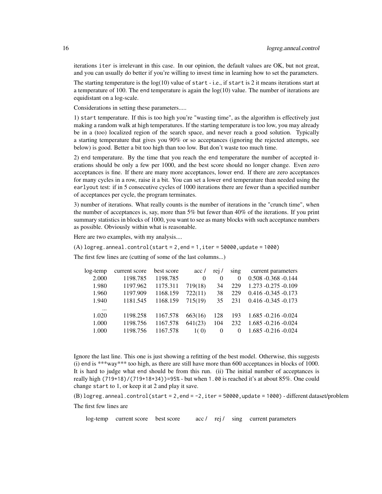iterations iter is irrelevant in this case. In our opinion, the default values are OK, but not great, and you can usually do better if you're willing to invest time in learning how to set the parameters.

The starting temperature is the  $log(10)$  value of start - i.e., if start is 2 it means iterations start at a temperature of 100. The end temperature is again the  $log(10)$  value. The number of iterations are equidistant on a log-scale.

Considerations in setting these parameters.....

1) start temperature. If this is too high you're "wasting time", as the algorithm is effectively just making a random walk at high temperatures. If the starting temperature is too low, you may already be in a (too) localized region of the search space, and never reach a good solution. Typically a starting temperature that gives you 90% or so acceptances (ignoring the rejected attempts, see below) is good. Better a bit too high than too low. But don't waste too much time.

2) end temperature. By the time that you reach the end temperature the number of accepted iterations should be only a few per 1000, and the best score should no longer change. Even zero acceptances is fine. If there are many more acceptances, lower end. If there are zero acceptances for many cycles in a row, raise it a bit. You can set a lower end temperature than needed using the earlyout test: if in 5 consecutive cycles of 1000 iterations there are fewer than a specified number of acceptances per cycle, the program terminates.

3) number of iterations. What really counts is the number of iterations in the "crunch time", when the number of acceptances is, say, more than 5% but fewer than 40% of the iterations. If you print summary statistics in blocks of 1000, you want to see as many blocks with such acceptance numbers as possible. Obviously within what is reasonable.

Here are two examples, with my analysis....

 $(A)$  logreg.anneal.control(start = 2,end = 1,iter = 50000,update = 1000)

The first few lines are (cutting of some of the last columns...)

| log-temp | current score | best score | acc/     | rei /    | $\sin \theta$ | current parameters      |
|----------|---------------|------------|----------|----------|---------------|-------------------------|
| 2.000    | 1198.785      | 1198.785   | $\Omega$ | $\Omega$ | 0             | $0.508 - 0.368 - 0.144$ |
| 1.980    | 1197.962      | 1175.311   | 719(18)  | 34       | 229           | $1.273 - 0.275 - 0.109$ |
| 1.960    | 1197.909      | 1168.159   | 722(11)  | 38       | 229           | $0.416 - 0.345 - 0.173$ |
| 1.940    | 1181.545      | 1168.159   | 715(19)  | 35       | 231           | $0.416 - 0.345 - 0.173$ |
| $\cdots$ |               |            |          |          |               |                         |
| 1.020    | 1198.258      | 1167.578   | 663(16)  | 128      | 193           | $1.685 - 0.216 - 0.024$ |
| 1.000    | 1198.756      | 1167.578   | 641(23)  | 104      | 232           | $1.685 - 0.216 - 0.024$ |
| 1.000    | 1198.756      | 1167.578   | 1(0)     | $\theta$ | $\Omega$      | $1.685 - 0.216 - 0.024$ |
|          |               |            |          |          |               |                         |

Ignore the last line. This one is just showing a refitting of the best model. Otherwise, this suggests (i) end is \*\*\*way\*\*\* too high, as there are still have more than 600 acceptances in blocks of 1000. It is hard to judge what end should be from this run. (ii) The initial number of acceptances is really high  $(719+18)/(719+18+34)$  = 95% - but when 1.00 is reached it's at about 85%. One could change start to 1, or keep it at 2 and play it save.

 $(B)$  logreg.anneal.control(start = 2, end =  $-2$ , iter = 50000, update = 1000) - different dataset/problem The first few lines are

log-temp current score best score acc / rej / sing current parameters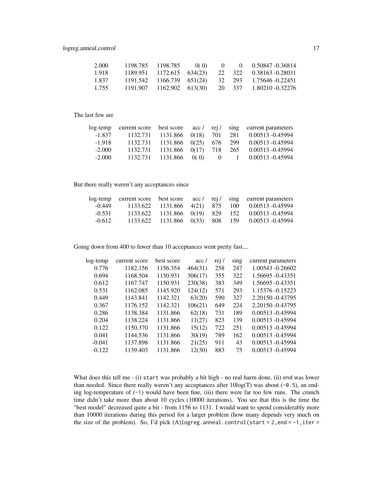| 2.000  | 1198.785 1198.785 | 0(0) |  | $0 \qquad 0 \qquad 0.50847 - 0.36814$                           |
|--------|-------------------|------|--|-----------------------------------------------------------------|
| -1.918 |                   |      |  | $1189.951$ $1172.615$ $634(23)$ $22$ $322$ $0.38163$ $-0.28031$ |
| 1.837  |                   |      |  | $1191.542$ $1166.739$ $651(24)$ $32$ $293$ $1.75646$ $-0.22451$ |
| 1.755  |                   |      |  | 1191.907 1162.902 613(30) 20 337 1.80210 0.32276                |

# The last few are

|          |  |  | log-temp current score best score $\operatorname{acc}/\operatorname{rej}/\operatorname{sing}$ current parameters |
|----------|--|--|------------------------------------------------------------------------------------------------------------------|
| $-1.837$ |  |  | 1132.731 1131.866 0(18) 701 281 0.00513 -0.45994                                                                 |
| $-1.918$ |  |  | 1132.731 1131.866 0(25) 676 299 0.00513 -0.45994                                                                 |
| $-2.000$ |  |  | 1132.731 1131.866 0(17) 718 265 0.00513 -0.45994                                                                 |
| $-2.000$ |  |  | 1132.731 1131.866 0(0) 0 1 0.00513 -0.45994                                                                      |
|          |  |  |                                                                                                                  |

# But there really weren't any acceptances since

|          |  |  | log-temp current score best score acc / rej / sing current parameters |
|----------|--|--|-----------------------------------------------------------------------|
| $-0.449$ |  |  | 1133.622 1131.866 4(21) 875 100 0.00513 -0.45994                      |
| $-0.531$ |  |  | 1133.622 1131.866 0(19) 829 152 0.00513 -0.45994                      |
| $-0.612$ |  |  | 1133.622 1131.866 0(33) 808 159 0.00513 -0.45994                      |

Going down from 400 to fewer than 10 acceptances went pretty fast....

| log-temp | current score | best score | acc/    | rej / | sing | current parameters |
|----------|---------------|------------|---------|-------|------|--------------------|
| 0.776    | 1182.156      | 1156.354   | 464(31) | 258   | 247  | 1.00543 -0.26602   |
| 0.694    | 1168.504      | 1150.931   | 306(17) | 355   | 322  | 1.56695 -0.43351   |
| 0.612    | 1167.747      | 1150.931   | 230(38) | 383   | 349  | 1.56695 -0.43351   |
| 0.531    | 1162.085      | 1145.920   | 124(12) | 571   | 293  | 1.15376 -0.15223   |
| 0.449    | 1143.841      | 1142.321   | 63(20)  | 590   | 327  | 2.20150 -0.43795   |
| 0.367    | 1176.152      | 1142.321   | 106(21) | 649   | 224  | 2.20150 -0.43795   |
| 0.286    | 1138.384      | 1131.866   | 62(18)  | 731   | 189  | 0.00513 -0.45994   |
| 0.204    | 1138.224      | 1131.866   | 11(27)  | 823   | 139  | 0.00513 -0.45994   |
| 0.122    | 1150.370      | 1131.866   | 15(12)  | 722   | 251  | 0.00513 -0.45994   |
| 0.041    | 1144.536      | 1131.866   | 30(19)  | 789   | 162  | 0.00513 -0.45994   |
| $-0.041$ | 1137.898      | 1131.866   | 21(25)  | 911   | 43   | 0.00513 -0.45994   |
| $-0.122$ | 1139.403      | 1131.866   | 12(30)  | 883   | 75   | 0.00513 -0.45994   |
|          |               |            |         |       |      |                    |

What does this tell me - (i) start was probably a bit high - no real harm done, (ii) end was lower than needed. Since there really weren't any acceptances after  $10\log(T)$  was about (-0.5), an ending log-temperature of  $(-1)$  would have been fine, (iii) there were far too few runs. The crunch time didn't take more than about 10 cycles (10000 iterations). You see that this is the time the "best model" decreased quite a bit - from 1156 to 1131. I would want to spend considerably more than 10000 iterations during this period for a larger problem (how many depends very much on the size of the problem). So, I'd pick  $(A)$ logreg.anneal.control(start = 2,end = -1,iter =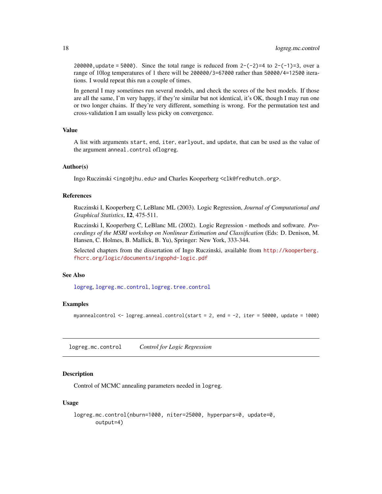<span id="page-17-0"></span>200000, update = 5000). Since the total range is reduced from  $2-(-2)=4$  to  $2-(-1)=3$ , over a range of 10log temperatures of 1 there will be 200000/3=67000 rather than 50000/4=12500 iterations. I would repeat this run a couple of times.

In general I may sometimes run several models, and check the scores of the best models. If those are all the same, I'm very happy, if they're similar but not identical, it's OK, though I may run one or two longer chains. If they're very different, something is wrong. For the permutation test and cross-validation I am usually less picky on convergence.

# Value

A list with arguments start, end, iter, earlyout, and update, that can be used as the value of the argument anneal.control oflogreg.

#### Author(s)

Ingo Ruczinski <ingo@jhu.edu> and Charles Kooperberg <clk@fredhutch.org>.

#### References

Ruczinski I, Kooperberg C, LeBlanc ML (2003). Logic Regression, *Journal of Computational and Graphical Statistics*, 12, 475-511.

Ruczinski I, Kooperberg C, LeBlanc ML (2002). Logic Regression - methods and software. *Proceedings of the MSRI workshop on Nonlinear Estimation and Classification* (Eds: D. Denison, M. Hansen, C. Holmes, B. Mallick, B. Yu), Springer: New York, 333-344.

Selected chapters from the dissertation of Ingo Ruczinski, available from [http://kooperberg.](http://kooperberg.fhcrc.org/logic/documents/ingophd-logic.pdf) [fhcrc.org/logic/documents/ingophd-logic.pdf](http://kooperberg.fhcrc.org/logic/documents/ingophd-logic.pdf)

# See Also

[logreg](#page-5-1), [logreg.mc.control](#page-17-1), [logreg.tree.control](#page-23-2)

#### Examples

myannealcontrol <- logreg.anneal.control(start = 2, end = -2, iter = 50000, update = 1000)

<span id="page-17-1"></span>logreg.mc.control *Control for Logic Regression*

# Description

Control of MCMC annealing parameters needed in logreg.

#### Usage

```
logreg.mc.control(nburn=1000, niter=25000, hyperpars=0, update=0,
      output=4)
```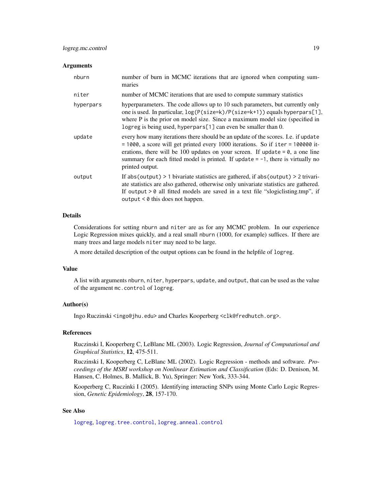#### <span id="page-18-0"></span>**Arguments**

| nburn     | number of burn in MCMC iterations that are ignored when computing sum-<br>maries                                                                                                                                                                                                                                                                                     |
|-----------|----------------------------------------------------------------------------------------------------------------------------------------------------------------------------------------------------------------------------------------------------------------------------------------------------------------------------------------------------------------------|
| niter     | number of MCMC iterations that are used to compute summary statistics                                                                                                                                                                                                                                                                                                |
| hyperpars | hyperparameters. The code allows up to 10 such parameters, but currently only<br>one is used. In particular, $log(P(size=k)/P(size=k+1))$ equals hyperpars[1],<br>where P is the prior on model size. Since a maximum model size (specified in<br>logreg is being used, hyperpars[1] can even be smaller than 0.                                                     |
| update    | every how many iterations there should be an update of the scores. I.e. if update<br>$= 1000$ , a score will get printed every 1000 iterations. So if iter = 100000 it-<br>erations, there will be 100 updates on your screen. If update $= 0$ , a one line<br>summary for each fitted model is printed. If update $= -1$ , there is virtually no<br>printed output. |
| output    | If abs (output) $> 1$ bivariate statistics are gathered, if abs (output) $> 2$ trivari-<br>ate statistics are also gathered, otherwise only univariate statistics are gathered.<br>If output $> 0$ all fitted models are saved in a text file "slogiclisting.tmp", if<br>output $\leq \theta$ this does not happen.                                                  |

# Details

Considerations for setting nburn and niter are as for any MCMC problem. In our experience Logic Regression mixes quickly, and a real small nburn (1000, for example) suffices. If there are many trees and large models niter may need to be large.

A more detailed description of the output options can be found in the helpfile of logreg.

#### Value

A list with arguments nburn, niter, hyperpars, update, and output, that can be used as the value of the argument mc.control of logreg.

# Author(s)

Ingo Ruczinski <ingo@jhu.edu> and Charles Kooperberg <clk@fredhutch.org>.

# References

Ruczinski I, Kooperberg C, LeBlanc ML (2003). Logic Regression, *Journal of Computational and Graphical Statistics*, 12, 475-511.

Ruczinski I, Kooperberg C, LeBlanc ML (2002). Logic Regression - methods and software. *Proceedings of the MSRI workshop on Nonlinear Estimation and Classification* (Eds: D. Denison, M. Hansen, C. Holmes, B. Mallick, B. Yu), Springer: New York, 333-344.

Kooperberg C, Ruczinki I (2005). Identifying interacting SNPs using Monte Carlo Logic Regression, *Genetic Epidemiology*, 28, 157-170.

# See Also

[logreg](#page-5-1), [logreg.tree.control](#page-23-2), [logreg.anneal.control](#page-13-1)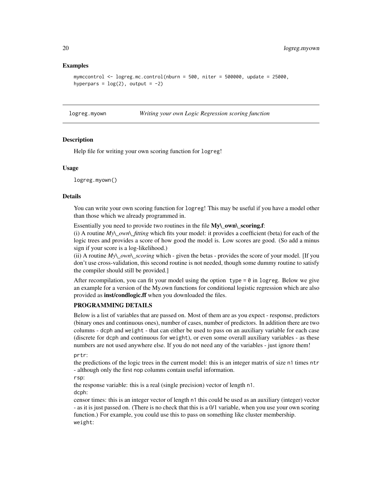#### Examples

```
mymccontrol \leq logreg.mc.control(nburn = 500, niter = 500000, update = 25000,
hyperpars = log(2), output = -2)
```
<span id="page-19-1"></span>

logreg.myown *Writing your own Logic Regression scoring function*

#### **Description**

Help file for writing your own scoring function for logreg!

#### Usage

logreg.myown()

#### Details

You can write your own scoring function for logreg! This may be useful if you have a model other than those which we already programmed in.

Essentially you need to provide two routines in the file My\\_own\\_scoring.f:

(i) A routine *My\\_own\\_fitting* which fits your model: it provides a coefficient (beta) for each of the logic trees and provides a score of how good the model is. Low scores are good. (So add a minus sign if your score is a log-likelihood.)

(ii) A routine *My\\_own\\_scoring* which - given the betas - provides the score of your model. [If you don't use cross-validation, this second routine is not needed, though some dummy routine to satisfy the compiler should still be provided.]

After recompilation, you can fit your model using the option type  $= 0$  in logreg. Below we give an example for a version of the My.own functions for conditional logistic regression which are also provided as **inst/condlogic.ff** when you downloaded the files.

#### PROGRAMMING DETAILS

Below is a list of variables that are passed on. Most of them are as you expect - response, predictors (binary ones and continuous ones), number of cases, number of predictors. In addition there are two columns - dcph and weight - that can either be used to pass on an auxiliary variable for each case (discrete for dcph and continuous for weight), or even some overall auxiliary variables - as these numbers are not used anywhere else. If you do not need any of the variables - just ignore them!

prtr:

the predictions of the logic trees in the current model: this is an integer matrix of size n1 times ntr - although only the first nop columns contain useful information.

rsp:

the response variable: this is a real (single precision) vector of length n1. dcph:

censor times: this is an integer vector of length n1 this could be used as an auxiliary (integer) vector - as it is just passed on. (There is no check that this is a 0/1 variable, when you use your own scoring function.) For example, you could use this to pass on something like cluster membership. weight:

<span id="page-19-0"></span>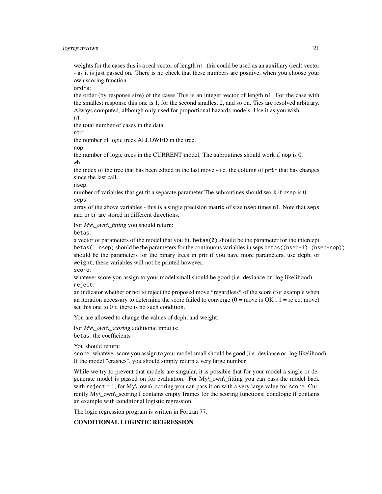#### logreg.myown 21

weights for the cases this is a real vector of length n1. this could be used as an auxiliary (real) vector - as it is just passed on. There is no check that these numbers are positive, when you choose your own scoring function.

ordrs:

the order (by response size) of the cases This is an integer vector of length n1. For the case with the smallest response this one is 1, for the second smallest 2, and so on. Ties are resolved arbitrary. Always computed, although only used for proportional hazards models. Use it as you wish.

n1:

the total number of cases in the data.

ntr:

the number of logic trees ALLOWED in the tree.

nop:

the number of logic trees in the CURRENT model. The subroutines should work if nop is 0. wh:

the index of the tree that has been edited in the last move - i.e. the column of prtr that has changes since the last call.

nsep:

number of variables that get fit a separate parameter The subroutines should work if nsep is 0. seps:

array of the above variables - this is a single precision matrix of size nsep times n1. Note that seps and prtr are stored in different directions.

For *My\\_own\\_fitting* you should return:

betas:

a vector of parameters of the model that you fit. betas $(0)$  should be the parameter for the intercept betas(1:nsep) should be the parameters for the continuous variables in seps betas((nsep+1):(nsep+nop)) should be the parameters for the binary trees in prtr if you have more parameters, use dcph, or weight; these variables will not be printed however.

score:

whatever score you assign to your model small should be good (i.e. deviance or -log.likelihood). reject:

an indicator whether or not to reject the proposed move \*regardless\* of the score (for example when an iteration necessary to determine the score failed to converge  $(0 = \text{move is OK}; 1 = \text{reject move})$ set this one to 0 if there is no such condition.

You are allowed to change the values of dcph, and weight.

For *My\\_own\\_scoring* additional input is: betas: the coefficients

You should return:

score: whatever score you assign to your model small should be good (i.e. deviance or -log.likelihood). If the model "crashes", you should simply return a very large number.

While we try to prevent that models are singular, it is possible that for your model a single or degenerate model is passed on for evaluation. For  $M_y\$  own\ fitting you can pass the model back with reject = 1, for My\\_own\\_scoring you can pass it on with a very large value for score. Currently My\\_own\\_scoring.f contains empty frames for the scoring functions; condlogic.ff contains an example with conditional logistic regression.

The logic regression program is written in Fortran 77.

# CONDITIONAL LOGISTIC REGRESSION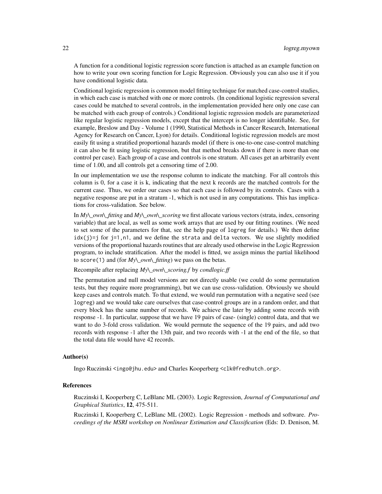A function for a conditional logistic regression score function is attached as an example function on how to write your own scoring function for Logic Regression. Obviously you can also use it if you have conditional logistic data.

Conditional logistic regression is common model fitting technique for matched case-control studies, in which each case is matched with one or more controls. (In conditional logistic regression several cases could be matched to several controls, in the implementation provided here only one case can be matched with each group of controls.) Conditional logistic regression models are parameterized like regular logistic regression models, except that the intercept is no longer identifiable. See, for example, Breslow and Day - Volume 1 (1990, Statistical Methods in Cancer Research, International Agency for Research on Cancer, Lyon) for details. Conditional logistic regression models are most easily fit using a stratified proportional hazards model (if there is one-to-one case-control matching it can also be fit using logistic regression, but that method breaks down if there is more than one control per case). Each group of a case and controls is one stratum. All cases get an arbitrarily event time of 1.00, and all controls get a censoring time of 2.00.

In our implementation we use the response column to indicate the matching. For all controls this column is 0, for a case it is k, indicating that the next k records are the matched controls for the current case. Thus, we order our cases so that each case is followed by its controls. Cases with a negative response are put in a stratum -1, which is not used in any computations. This has implications for cross-validation. See below.

In *My\\_own\\_fitting* and *My\\_own\\_scoring* we first allocate various vectors (strata, index, censoring variable) that are local, as well as some work arrays that are used by our fitting routines. (We need to set some of the parameters for that, see the help page of logreg for details.) We then define  $idx(j)=j$  for  $j=1, n1$ , and we define the strata and delta vectors. We use slightly modified versions of the proportional hazards routines that are already used otherwise in the Logic Regression program, to include stratification. After the model is fitted, we assign minus the partial likelihood to score(1) and (for *My\\_own\\_fitting*) we pass on the betas.

Recompile after replacing *My\\_own\\_scoring.f* by *condlogic.ff*

The permutation and null model versions are not directly usable (we could do some permutation tests, but they require more programming), but we can use cross-validation. Obviously we should keep cases and controls match. To that extend, we would run permutation with a negative seed (see logreg) and we would take care ourselves that case-control groups are in a random order, and that every block has the same number of records. We achieve the later by adding some records with response -1. In particular, suppose that we have 19 pairs of case- (single) control data, and that we want to do 3-fold cross validation. We would permute the sequence of the 19 pairs, and add two records with response -1 after the 13th pair, and two records with -1 at the end of the file, so that the total data file would have 42 records.

#### Author(s)

Ingo Ruczinski <ingo@jhu.edu> and Charles Kooperberg <clk@fredhutch.org>.

# References

Ruczinski I, Kooperberg C, LeBlanc ML (2003). Logic Regression, *Journal of Computational and Graphical Statistics*, 12, 475-511.

Ruczinski I, Kooperberg C, LeBlanc ML (2002). Logic Regression - methods and software. *Proceedings of the MSRI workshop on Nonlinear Estimation and Classification* (Eds: D. Denison, M.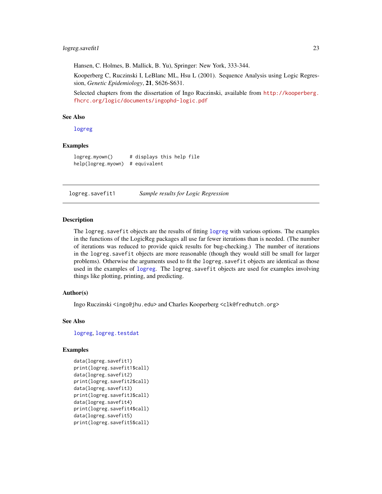### <span id="page-22-0"></span>logreg.savefit1 23

Hansen, C. Holmes, B. Mallick, B. Yu), Springer: New York, 333-344.

Kooperberg C, Ruczinski I, LeBlanc ML, Hsu L (2001). Sequence Analysis using Logic Regression, *Genetic Epidemiology*, 21, S626-S631.

Selected chapters from the dissertation of Ingo Ruczinski, available from [http://kooperberg.](http://kooperberg.fhcrc.org/logic/documents/ingophd-logic.pdf) [fhcrc.org/logic/documents/ingophd-logic.pdf](http://kooperberg.fhcrc.org/logic/documents/ingophd-logic.pdf)

# See Also

[logreg](#page-5-1)

#### Examples

```
logreg.myown() # displays this help file
help(logreg.myown) # equivalent
```
logreg.savefit1 *Sample results for Logic Regression*

#### **Description**

The logreg.savefit objects are the results of fitting [logreg](#page-5-1) with various options. The examples in the functions of the LogicReg packages all use far fewer iterations than is needed. (The number of iterations was reduced to provide quick results for bug-checking.) The number of iterations in the logreg.savefit objects are more reasonable (though they would still be small for larger problems). Otherwise the arguments used to fit the logreg.savefit objects are identical as those used in the examples of [logreg](#page-5-1). The logreg. savefit objects are used for examples involving things like plotting, printing, and predicting.

#### Author(s)

Ingo Ruczinski <ingo@jhu.edu> and Charles Kooperberg <clk@fredhutch.org>

#### See Also

[logreg](#page-5-1), [logreg.testdat](#page-23-1)

#### Examples

```
data(logreg.savefit1)
print(logreg.savefit1$call)
data(logreg.savefit2)
print(logreg.savefit2$call)
data(logreg.savefit3)
print(logreg.savefit3$call)
data(logreg.savefit4)
print(logreg.savefit4$call)
data(logreg.savefit5)
print(logreg.savefit5$call)
```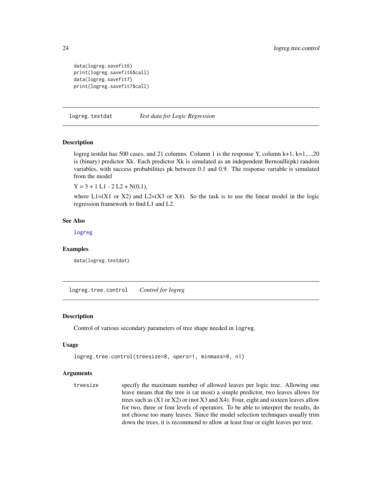```
data(logreg.savefit6)
print(logreg.savefit6$call)
data(logreg.savefit7)
print(logreg.savefit7$call)
```
<span id="page-23-1"></span>logreg.testdat *Test data for Logic Regression*

#### Description

logreg.testdat has 500 cases, and 21 columns. Column 1 is the response Y, column  $k+1$ ,  $k=1,...,20$ is (binary) predictor Xk. Each predictor Xk is simulated as an independent Bernoulli(pk) random variables, with success probabilities pk between 0.1 and 0.9. The response variable is simulated from the model

 $Y = 3 + 1 L1 - 2 L2 + N(0,1),$ 

where  $L1=(X1 \text{ or } X2)$  and  $L2=(X3 \text{ or } X4)$ . So the task is to use the linear model in the logic regression framework to find L1 and L2.

#### See Also

[logreg](#page-5-1)

#### Examples

data(logreg.testdat)

<span id="page-23-2"></span>logreg.tree.control *Control for logreg*

#### Description

Control of various secondary parameters of tree shape needed in logreg.

#### Usage

```
logreg.tree.control(treesize=8, opers=1, minmass=0, n1)
```
#### Arguments

treesize specify the maximum number of allowed leaves per logic tree. Allowing one leave means that the tree is (at most) a simple predictor, two leaves allows for trees such as (X1 or X2) or (not X3 and X4). Four, eight and sixteen leaves allow for two, three or four levels of operators. To be able to interpret the results, do not choose too many leaves. Since the model selection techniques usually trim down the trees, it is recommend to allow at least four or eight leaves per tree.

<span id="page-23-0"></span>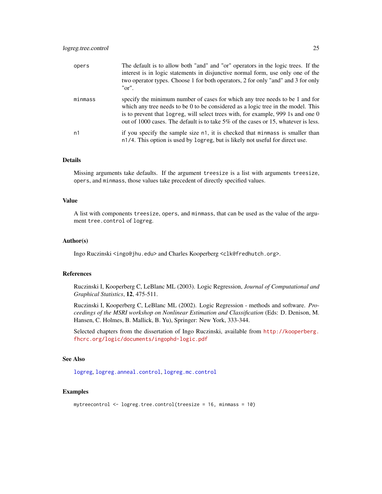<span id="page-24-0"></span>

| opers   | The default is to allow both "and" and "or" operators in the logic trees. If the<br>interest is in logic statements in disjunctive normal form, use only one of the<br>two operator types. Choose 1 for both operators, 2 for only "and" and 3 for only<br>" $or$ ".                                                                       |
|---------|--------------------------------------------------------------------------------------------------------------------------------------------------------------------------------------------------------------------------------------------------------------------------------------------------------------------------------------------|
| minmass | specify the minimum number of cases for which any tree needs to be 1 and for<br>which any tree needs to be 0 to be considered as a logic tree in the model. This<br>is to prevent that logreg, will select trees with, for example, 999 1s and one 0<br>out of 1000 cases. The default is to take 5% of the cases or 15, whatever is less. |
| n1      | if you specify the sample size n1, it is checked that minmass is smaller than<br>n1/4. This option is used by logreg, but is likely not useful for direct use.                                                                                                                                                                             |

#### Details

Missing arguments take defaults. If the argument treesize is a list with arguments treesize, opers, and minmass, those values take precedent of directly specified values.

#### Value

A list with components treesize, opers, and minmass, that can be used as the value of the argument tree.control of logreg.

# Author(s)

Ingo Ruczinski <ingo@jhu.edu> and Charles Kooperberg <clk@fredhutch.org>.

#### References

Ruczinski I, Kooperberg C, LeBlanc ML (2003). Logic Regression, *Journal of Computational and Graphical Statistics*, 12, 475-511.

Ruczinski I, Kooperberg C, LeBlanc ML (2002). Logic Regression - methods and software. *Proceedings of the MSRI workshop on Nonlinear Estimation and Classification* (Eds: D. Denison, M. Hansen, C. Holmes, B. Mallick, B. Yu), Springer: New York, 333-344.

Selected chapters from the dissertation of Ingo Ruczinski, available from [http://kooperberg.](http://kooperberg.fhcrc.org/logic/documents/ingophd-logic.pdf) [fhcrc.org/logic/documents/ingophd-logic.pdf](http://kooperberg.fhcrc.org/logic/documents/ingophd-logic.pdf)

#### See Also

[logreg](#page-5-1), [logreg.anneal.control](#page-13-1), [logreg.mc.control](#page-17-1)

#### Examples

```
mytreecontrol <- logreg.tree.control(treesize = 16, minmass = 10)
```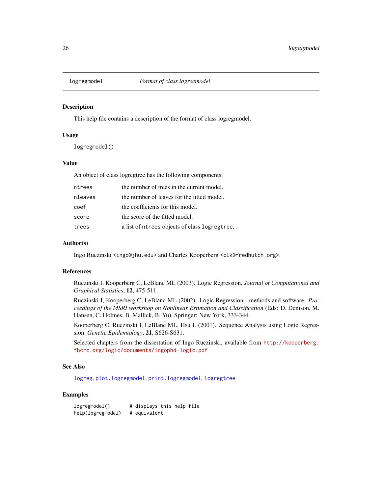<span id="page-25-1"></span><span id="page-25-0"></span>

#### Description

This help file contains a description of the format of class logregmodel.

#### Usage

```
logregmodel()
```
#### Value

An object of class logregtree has the following components:

| ntrees  | the number of trees in the current model.     |
|---------|-----------------------------------------------|
| nleaves | the number of leaves for the fitted model.    |
| coef    | the coefficients for this model.              |
| score   | the score of the fitted model.                |
| trees   | a list of ntrees objects of class logregtree. |

#### Author(s)

Ingo Ruczinski <ingo@jhu.edu> and Charles Kooperberg <clk@fredhutch.org>.

# References

Ruczinski I, Kooperberg C, LeBlanc ML (2003). Logic Regression, *Journal of Computational and Graphical Statistics*, 12, 475-511.

Ruczinski I, Kooperberg C, LeBlanc ML (2002). Logic Regression - methods and software. *Proceedings of the MSRI workshop on Nonlinear Estimation and Classification* (Eds: D. Denison, M. Hansen, C. Holmes, B. Mallick, B. Yu), Springer: New York, 333-344.

Kooperberg C, Ruczinski I, LeBlanc ML, Hsu L (2001). Sequence Analysis using Logic Regression, *Genetic Epidemiology*, 21, S626-S631.

Selected chapters from the dissertation of Ingo Ruczinski, available from [http://kooperberg.](http://kooperberg.fhcrc.org/logic/documents/ingophd-logic.pdf) [fhcrc.org/logic/documents/ingophd-logic.pdf](http://kooperberg.fhcrc.org/logic/documents/ingophd-logic.pdf)

# See Also

[logreg](#page-5-1), [plot.logregmodel](#page-30-1), [print.logregmodel](#page-36-1), [logregtree](#page-26-1)

## Examples

logregmodel() # displays this help file help(logregmodel) # equivalent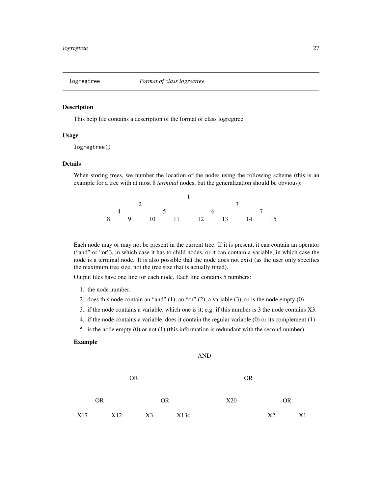<span id="page-26-1"></span><span id="page-26-0"></span>

#### Description

This help file contains a description of the format of class logregtree.

#### Usage

```
logregtree()
```
# Details

When storing trees, we number the location of the nodes using the following scheme (this is an example for a tree with at most 8 *terminal* nodes, but the generalization should be obvious):

|  |  |  | 4 5 6 7               |  |  |  |  |
|--|--|--|-----------------------|--|--|--|--|
|  |  |  | 8 9 10 11 12 13 14 15 |  |  |  |  |

Each node may or may not be present in the current tree. If it is present, it can contain an operator ("and" or "or"), in which case it has to child nodes, or it can contain a variable, in which case the node is a terminal node. It is also possible that the node does not exist (as the user only specifies the maximum tree size, not the tree size that is actually fitted).

Output files have one line for each node. Each line contains 5 numbers:

- 1. the node number.
- 2. does this node contain an "and" (1), an "or" (2), a variable (3), or is the node empty (0).
- 3. if the node contains a variable, which one is it; e.g. if this number is 3 the node contains X3.
- 4. if the node contains a variable, does it contain the regular variable (0) or its complement (1)

AND

5. is the node empty (0) or not (1) (this information is redundant with the second number)

#### Example

|     |           |     | <b>OR</b> |    |           |      |     | <b>OR</b> |    |           |    |
|-----|-----------|-----|-----------|----|-----------|------|-----|-----------|----|-----------|----|
|     | <b>OR</b> |     |           |    | <b>OR</b> |      | X20 |           |    | <b>OR</b> |    |
| X17 |           | X12 |           | X3 |           | X13c |     |           | X2 |           | X1 |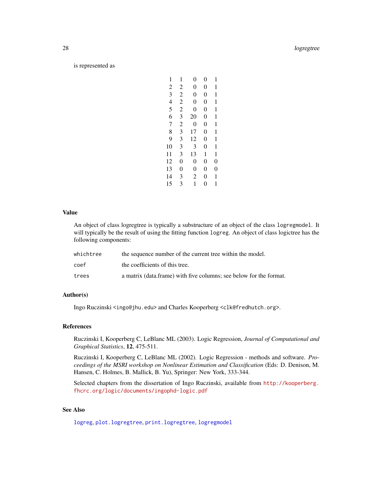#### <span id="page-27-0"></span>28 logregtree and the control of the control of the control of the control of the control of the control of the control of the control of the control of the control of the control of the control of the control of the contr

#### is represented as

| 1              | 1              | 0              | 0 | 1              |
|----------------|----------------|----------------|---|----------------|
|                |                |                |   |                |
| $\overline{c}$ | 2              | 0              | 0 | 1              |
| 3              | $\overline{c}$ | $\overline{0}$ | 0 | 1              |
| $\overline{4}$ | $\overline{2}$ | 0              | 0 | 1              |
| 5              | $\overline{c}$ | 0              | 0 | 1              |
| 6              | 3              | 20             | 0 | 1              |
| 7              | $\overline{c}$ | 0              | 0 | 1              |
| 8              | 3              | 17             | 0 | 1              |
| 9              | 3              | 12             | 0 | 1              |
| 10             | 3              | 3              | 0 | 1              |
| 11             | 3              | 13             | 1 | 1              |
| 12             | $\overline{0}$ | $\overline{0}$ | 0 | 0              |
| 13             | $\overline{0}$ | $\overline{0}$ | 0 | $\overline{0}$ |
| 14             | 3              | 2              | 0 | 1              |
| 15             | 3              | 1              | 0 | 1              |
|                |                |                |   |                |

#### Value

An object of class logregtree is typically a substructure of an object of the class logregmodel. It will typically be the result of using the fitting function logreg. An object of class logictree has the following components:

| whichtree | the sequence number of the current tree within the model.          |
|-----------|--------------------------------------------------------------------|
| coef      | the coefficients of this tree.                                     |
| trees     | a matrix (data.frame) with five columns; see below for the format. |

# Author(s)

Ingo Ruczinski <ingo@jhu.edu> and Charles Kooperberg <clk@fredhutch.org>.

# References

Ruczinski I, Kooperberg C, LeBlanc ML (2003). Logic Regression, *Journal of Computational and Graphical Statistics*, 12, 475-511.

Ruczinski I, Kooperberg C, LeBlanc ML (2002). Logic Regression - methods and software. *Proceedings of the MSRI workshop on Nonlinear Estimation and Classification* (Eds: D. Denison, M. Hansen, C. Holmes, B. Mallick, B. Yu), Springer: New York, 333-344.

Selected chapters from the dissertation of Ingo Ruczinski, available from [http://kooperberg.](http://kooperberg.fhcrc.org/logic/documents/ingophd-logic.pdf) [fhcrc.org/logic/documents/ingophd-logic.pdf](http://kooperberg.fhcrc.org/logic/documents/ingophd-logic.pdf)

# See Also

[logreg](#page-5-1), [plot.logregtree](#page-31-1), [print.logregtree](#page-37-1), [logregmodel](#page-25-1)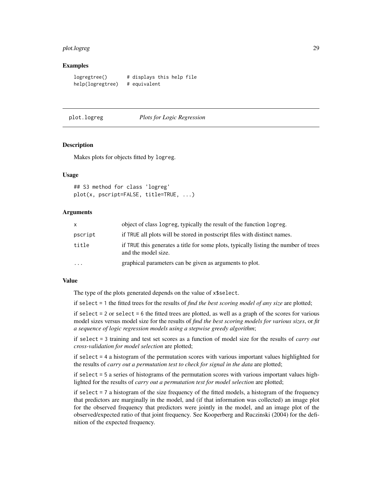#### <span id="page-28-0"></span>plot.logreg 29

#### Examples

logregtree() # displays this help file help(logregtree) # equivalent

<span id="page-28-1"></span>plot.logreg *Plots for Logic Regression*

#### **Description**

Makes plots for objects fitted by logreg.

#### Usage

```
## S3 method for class 'logreg'
plot(x, pscript=FALSE, title=TRUE, ...)
```
#### Arguments

| X       | object of class logreg, typically the result of the function logreg.                                        |
|---------|-------------------------------------------------------------------------------------------------------------|
| pscript | if TRUE all plots will be stored in postscript files with distinct names.                                   |
| title   | if TRUE this generates a title for some plots, typically listing the number of trees<br>and the model size. |
| .       | graphical parameters can be given as arguments to plot.                                                     |

#### Value

The type of the plots generated depends on the value of x\$select.

if select = 1 the fitted trees for the results of *find the best scoring model of any size* are plotted;

if select  $= 2$  or select  $= 6$  the fitted trees are plotted, as well as a graph of the scores for various model sizes versus model size for the results of *find the best scoring models for various sizes*, or *fit a sequence of logic regression models using a stepwise greedy algorithm*;

if select = 3 training and test set scores as a function of model size for the results of *carry out cross-validation for model selection* are plotted;

if select = 4 a histogram of the permutation scores with various important values highlighted for the results of *carry out a permutation test to check for signal in the data* are plotted;

if select = 5 a series of histograms of the permutation scores with various important values highlighted for the results of *carry out a permutation test for model selection* are plotted;

if select = 7 a histogram of the size frequency of the fitted models, a histogram of the frequency that predictors are marginally in the model, and (if that information was collected) an image plot for the observed frequency that predictors were jointly in the model, and an image plot of the observed/expected ratio of that joint frequency. See Kooperberg and Ruczinski (2004) for the definition of the expected frequency.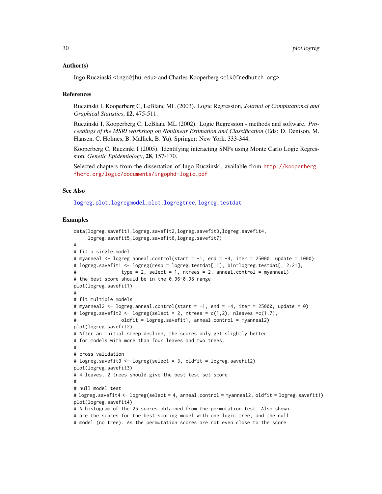#### <span id="page-29-0"></span>Author(s)

Ingo Ruczinski <ingo@jhu.edu> and Charles Kooperberg <clk@fredhutch.org>.

#### References

Ruczinski I, Kooperberg C, LeBlanc ML (2003). Logic Regression, *Journal of Computational and Graphical Statistics*, 12, 475-511.

Ruczinski I, Kooperberg C, LeBlanc ML (2002). Logic Regression - methods and software. *Proceedings of the MSRI workshop on Nonlinear Estimation and Classification* (Eds: D. Denison, M. Hansen, C. Holmes, B. Mallick, B. Yu), Springer: New York, 333-344.

Kooperberg C, Ruczinki I (2005). Identifying interacting SNPs using Monte Carlo Logic Regression, *Genetic Epidemiology*, 28, 157-170.

Selected chapters from the dissertation of Ingo Ruczinski, available from [http://kooperberg.](http://kooperberg.fhcrc.org/logic/documents/ingophd-logic.pdf) [fhcrc.org/logic/documents/ingophd-logic.pdf](http://kooperberg.fhcrc.org/logic/documents/ingophd-logic.pdf)

#### See Also

[logreg](#page-5-1), [plot.logregmodel](#page-30-1), [plot.logregtree](#page-31-1), [logreg.testdat](#page-23-1)

#### Examples

```
data(logreg.savefit1,logreg.savefit2,logreg.savefit3,logreg.savefit4,
     logreg.savefit5,logreg.savefit6,logreg.savefit7)
#
# fit a single model
# myanneal \le logreg.anneal.control(start = -1, end = -4, iter = 25000, update = 1000)
# logreg.savefit1 <- logreg(resp = logreg.testdat[,1], bin=logreg.testdat[, 2:21],
                 type = 2, select = 1, ntrees = 2, anneal.control = myanneal)
# the best score should be in the 0.96-0.98 range
plot(logreg.savefit1)
#
# fit multiple models
# myanneal2 <- logreg.anneal.control(start = -1, end = -4, iter = 25000, update = 0)
# logreg.savefit2 <- logreg(select = 2, ntrees = c(1,2), nleaves =c(1,7),
# oldfit = logreg.savefit1, anneal.control = myanneal2)
plot(logreg.savefit2)
# After an initial steep decline, the scores only get slightly better
# for models with more than four leaves and two trees.
#
# cross validation
# logreg.savefit3 <- logreg(select = 3, oldfit = logreg.savefit2)
plot(logreg.savefit3)
# 4 leaves, 2 trees should give the best test set score
#
# null model test
# logreg.savefit4 <- logreg(select = 4, anneal.control = myanneal2, oldfit = logreg.savefit1)
plot(logreg.savefit4)
# A histogram of the 25 scores obtained from the permutation test. Also shown
# are the scores for the best scoring model with one logic tree, and the null
# model (no tree). As the permutation scores are not even close to the score
```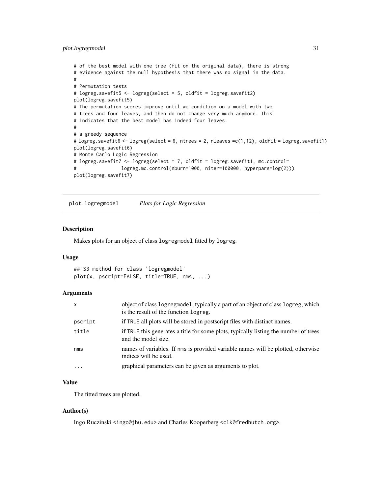# <span id="page-30-0"></span>plot.logregmodel 31

```
# of the best model with one tree (fit on the original data), there is strong
# evidence against the null hypothesis that there was no signal in the data.
#
# Permutation tests
# logreg.savefit5 <- logreg(select = 5, oldfit = logreg.savefit2)
plot(logreg.savefit5)
# The permutation scores improve until we condition on a model with two
# trees and four leaves, and then do not change very much anymore. This
# indicates that the best model has indeed four leaves.
#
# a greedy sequence
# logreg.savefit6 <- logreg(select = 6, ntrees = 2, nleaves =c(1,12), oldfit = logreg.savefit1)
plot(logreg.savefit6)
# Monte Carlo Logic Regression
# logreg.savefit7 <- logreg(select = 7, oldfit = logreg.savefit1, mc.control=
# logreg.mc.control(nburn=1000, niter=100000, hyperpars=log(2)))
plot(logreg.savefit7)
```
<span id="page-30-1"></span>plot.logregmodel *Plots for Logic Regression*

#### Description

Makes plots for an object of class logregmodel fitted by logreg.

# Usage

## S3 method for class 'logregmodel' plot(x, pscript=FALSE, title=TRUE, nms, ...)

#### Arguments

| $\mathsf{x}$            | object of class logregmodel, typically a part of an object of class logreg, which<br>is the result of the function logreg. |
|-------------------------|----------------------------------------------------------------------------------------------------------------------------|
| pscript                 | if TRUE all plots will be stored in postscript files with distinct names.                                                  |
| title                   | if TRUE this generates a title for some plots, typically listing the number of trees<br>and the model size.                |
| nms                     | names of variables. If nms is provided variable names will be plotted, otherwise<br>indices will be used.                  |
| $\cdot$ $\cdot$ $\cdot$ | graphical parameters can be given as arguments to plot.                                                                    |

# Value

The fitted trees are plotted.

# Author(s)

Ingo Ruczinski <ingo@jhu.edu> and Charles Kooperberg <clk@fredhutch.org>.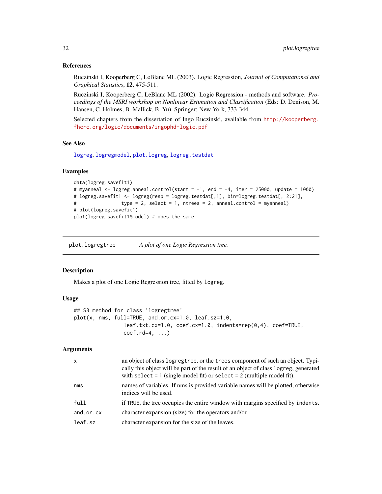#### <span id="page-31-0"></span>References

Ruczinski I, Kooperberg C, LeBlanc ML (2003). Logic Regression, *Journal of Computational and Graphical Statistics*, 12, 475-511.

Ruczinski I, Kooperberg C, LeBlanc ML (2002). Logic Regression - methods and software. *Proceedings of the MSRI workshop on Nonlinear Estimation and Classification* (Eds: D. Denison, M. Hansen, C. Holmes, B. Mallick, B. Yu), Springer: New York, 333-344.

Selected chapters from the dissertation of Ingo Ruczinski, available from [http://kooperberg.](http://kooperberg.fhcrc.org/logic/documents/ingophd-logic.pdf) [fhcrc.org/logic/documents/ingophd-logic.pdf](http://kooperberg.fhcrc.org/logic/documents/ingophd-logic.pdf)

#### See Also

[logreg](#page-5-1), [logregmodel](#page-25-1), [plot.logreg](#page-28-1), [logreg.testdat](#page-23-1)

# Examples

```
data(logreg.savefit1)
# myanneal <- logreg.anneal.control(start = -1, end = -4, iter = 25000, update = 1000)
# logreg.savefit1 <- logreg(resp = logreg.testdat[,1], bin=logreg.testdat[, 2:21],
# type = 2, select = 1, ntrees = 2, anneal.control = myanneal)
# plot(logreg.savefit1)
plot(logreg.savefit1$model) # does the same
```
<span id="page-31-1"></span>plot.logregtree *A plot of one Logic Regression tree.*

### Description

Makes a plot of one Logic Regression tree, fitted by logreg.

#### Usage

```
## S3 method for class 'logregtree'
plot(x, nms, full=TRUE, and.or.cx=1.0, leaf.sz=1.0,
                leaf.txt.cx=1.0, coef.cx=1.0, indents=rep(0,4), coef=TRUE,
                coef.rd=4, ...)
```
# Arguments

| X              | an object of class logregtree, or the trees component of such an object. Typi-<br>cally this object will be part of the result of an object of class logreg, generated<br>with select $= 1$ (single model fit) or select $= 2$ (multiple model fit). |
|----------------|------------------------------------------------------------------------------------------------------------------------------------------------------------------------------------------------------------------------------------------------------|
| nms            | names of variables. If nms is provided variable names will be plotted, otherwise<br>indices will be used.                                                                                                                                            |
| full           | if TRUE, the tree occupies the entire window with margins specified by indents.                                                                                                                                                                      |
| $and.$ or $cx$ | character expansion (size) for the operators and/or.                                                                                                                                                                                                 |
| leaf.sz        | character expansion for the size of the leaves.                                                                                                                                                                                                      |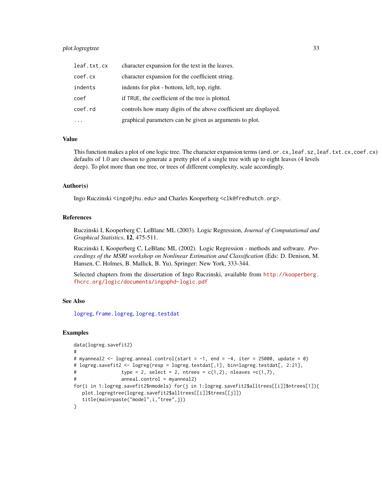# <span id="page-32-0"></span>plot.logregtree 33

| leaf.txt.cx | character expansion for the text in the leaves.                  |
|-------------|------------------------------------------------------------------|
| coef.cx     | character expansion for the coefficient string.                  |
| indents     | indents for plot - bottom, left, top, right.                     |
| coef        | if TRUE, the coefficient of the tree is plotted.                 |
| coef.rd     | controls how many digits of the above coefficient are displayed. |
|             | graphical parameters can be given as arguments to plot.          |

#### Value

This function makes a plot of one logic tree. The character expansion terms (and.or.cx, leaf.sz, leaf.txt.cx, coef.cx) defaults of 1.0 are chosen to generate a pretty plot of a single tree with up to eight leaves (4 levels deep). To plot more than one tree, or trees of different complexity, scale accordingly.

#### Author(s)

Ingo Ruczinski <ingo@jhu.edu> and Charles Kooperberg <clk@fredhutch.org>.

## References

Ruczinski I, Kooperberg C, LeBlanc ML (2003). Logic Regression, *Journal of Computational and Graphical Statistics*, 12, 475-511.

Ruczinski I, Kooperberg C, LeBlanc ML (2002). Logic Regression - methods and software. *Proceedings of the MSRI workshop on Nonlinear Estimation and Classification* (Eds: D. Denison, M. Hansen, C. Holmes, B. Mallick, B. Yu), Springer: New York, 333-344.

Selected chapters from the dissertation of Ingo Ruczinski, available from [http://kooperberg.](http://kooperberg.fhcrc.org/logic/documents/ingophd-logic.pdf) [fhcrc.org/logic/documents/ingophd-logic.pdf](http://kooperberg.fhcrc.org/logic/documents/ingophd-logic.pdf)

#### See Also

[logreg](#page-5-1), [frame.logreg](#page-3-1), [logreg.testdat](#page-23-1)

# Examples

```
data(logreg.savefit2)
#
# myanneal2 <- logreg.anneal.control(start = -1, end = -4, iter = 25000, update = 0)
# logreg.savefit2 <- logreg(resp = logreg.testdat[,1], bin=logreg.testdat[, 2:21],
# type = 2, select = 2, ntrees = c(1,2), nleaves = c(1,7),
# anneal.control = myanneal2)
for(i in 1:logreg.savefit2$nmodels) for(j in 1:logreg.savefit2$alltrees[[i]]$ntrees[1]){
  plot.logregtree(logreg.savefit2$alltrees[[i]]$trees[[j]])
   title(main=paste("model",i,"tree",j))
}
```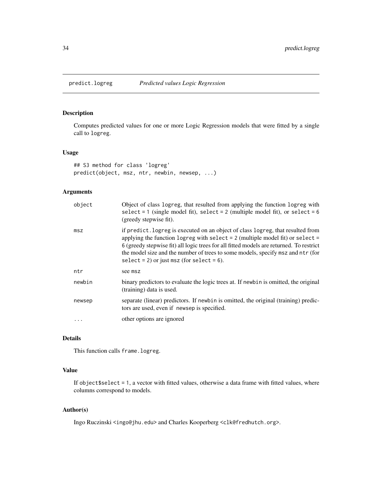<span id="page-33-1"></span><span id="page-33-0"></span>

# Description

Computes predicted values for one or more Logic Regression models that were fitted by a single call to logreg.

## Usage

```
## S3 method for class 'logreg'
predict(object, msz, ntr, newbin, newsep, ...)
```
# Arguments

| object | Object of class logreg, that resulted from applying the function logreg with<br>select = 1 (single model fit), select = 2 (multiple model fit), or select = $6$<br>(greedy stepwise fit).                                                                                                                                                                                                          |
|--------|----------------------------------------------------------------------------------------------------------------------------------------------------------------------------------------------------------------------------------------------------------------------------------------------------------------------------------------------------------------------------------------------------|
| msz    | if predict. logreg is executed on an object of class logreg, that resulted from<br>applying the function logreg with select $= 2$ (multiple model fit) or select $=$<br>6 (greedy stepwise fit) all logic trees for all fitted models are returned. To restrict<br>the model size and the number of trees to some models, specify msz and ntr (for<br>select = 2) or just msz (for select = $6$ ). |
| ntr    | see msz                                                                                                                                                                                                                                                                                                                                                                                            |
| newbin | binary predictors to evaluate the logic trees at. If newbin is omitted, the original<br>(training) data is used.                                                                                                                                                                                                                                                                                   |
| newsep | separate (linear) predictors. If newbin is omitted, the original (training) predic-<br>tors are used, even if newsep is specified.                                                                                                                                                                                                                                                                 |
|        | other options are ignored                                                                                                                                                                                                                                                                                                                                                                          |

# Details

This function calls frame.logreg.

# Value

If object\$select = 1, a vector with fitted values, otherwise a data frame with fitted values, where columns correspond to models.

#### Author(s)

Ingo Ruczinski <ingo@jhu.edu> and Charles Kooperberg <clk@fredhutch.org>.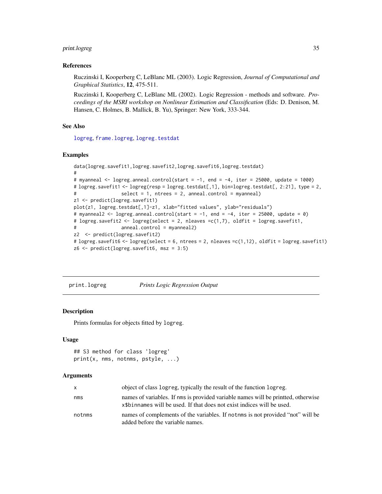# <span id="page-34-0"></span>print.logreg 35

#### References

Ruczinski I, Kooperberg C, LeBlanc ML (2003). Logic Regression, *Journal of Computational and Graphical Statistics*, 12, 475-511.

Ruczinski I, Kooperberg C, LeBlanc ML (2002). Logic Regression - methods and software. *Proceedings of the MSRI workshop on Nonlinear Estimation and Classification* (Eds: D. Denison, M. Hansen, C. Holmes, B. Mallick, B. Yu), Springer: New York, 333-344.

# See Also

[logreg](#page-5-1), [frame.logreg](#page-3-1), [logreg.testdat](#page-23-1)

#### Examples

```
data(logreg.savefit1,logreg.savefit2,logreg.savefit6,logreg.testdat)
#
# myanneal \leq logreg.anneal.control(start = -1, end = -4, iter = 25000, update = 1000)
# logreg.savefit1 <- logreg(resp = logreg.testdat[,1], bin=logreg.testdat[, 2:21], type = 2,
                 select = 1, ntrees = 2, anneal.control = myanneal)
z1 <- predict(logreg.savefit1)
plot(z1, logreg.testdat[,1]-z1, xlab="fitted values", ylab="residuals")
# myanneal2 \leq logreg.anneal.control(start = -1, end = -4, iter = 25000, update = 0)
# logreg.savefit2 <- logreg(select = 2, nleaves =c(1,7), oldfit = logreg.savefit1,
# anneal.control = myanneal2)
z2 <- predict(logreg.savefit2)
# logreg.savefit6 <- logreg(select = 6, ntrees = 2, nleaves =c(1,12), oldfit = logreg.savefit1)
z6 <- predict(logreg.savefit6, msz = 3:5)
```
<span id="page-34-1"></span>print.logreg *Prints Logic Regression Output*

# Description

Prints formulas for objects fitted by logreg.

#### Usage

```
## S3 method for class 'logreg'
print(x, nms, notnms, pstyle, ...)
```
#### **Arguments**

| X      | object of class logreg, typically the result of the function logreg.                                                                                        |
|--------|-------------------------------------------------------------------------------------------------------------------------------------------------------------|
| nms    | names of variables. If nms is provided variable names will be printted, otherwise<br>x\$binnames will be used. If that does not exist indices will be used. |
| notnms | names of complements of the variables. If nother is not provided "not" will be<br>added before the variable names.                                          |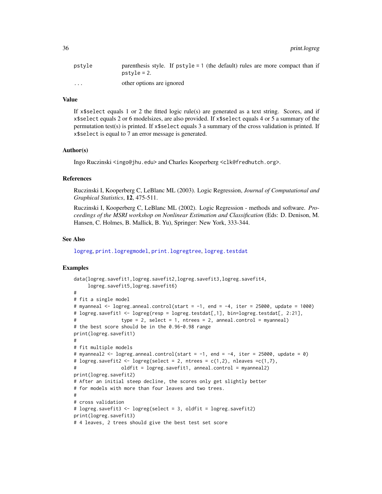<span id="page-35-0"></span>

| pstvle                  | parenthesis style. If $pstyle = 1$ (the default) rules are more compact than if<br>$pstvle = 2.$ |
|-------------------------|--------------------------------------------------------------------------------------------------|
| $\cdot$ $\cdot$ $\cdot$ | other options are ignored                                                                        |

# Value

If  $x$ \$select equals 1 or 2 the fitted logic rule(s) are generated as a text string. Scores, and if x\$select equals 2 or 6 modelsizes, are also provided. If x\$select equals 4 or 5 a summary of the permutation test(s) is printed. If x\$select equals 3 a summary of the cross validation is printed. If x\$select is equal to 7 an error message is generated.

# Author(s)

Ingo Ruczinski <ingo@jhu.edu> and Charles Kooperberg <clk@fredhutch.org>.

# References

Ruczinski I, Kooperberg C, LeBlanc ML (2003). Logic Regression, *Journal of Computational and Graphical Statistics*, 12, 475-511.

Ruczinski I, Kooperberg C, LeBlanc ML (2002). Logic Regression - methods and software. *Proceedings of the MSRI workshop on Nonlinear Estimation and Classification* (Eds: D. Denison, M. Hansen, C. Holmes, B. Mallick, B. Yu), Springer: New York, 333-344.

#### See Also

[logreg](#page-5-1), [print.logregmodel](#page-36-1), [print.logregtree](#page-37-1), [logreg.testdat](#page-23-1)

#### Examples

```
data(logreg.savefit1,logreg.savefit2,logreg.savefit3,logreg.savefit4,
     logreg.savefit5,logreg.savefit6)
#
# fit a single model
# myanneal <- logreg.anneal.control(start = -1, end = -4, iter = 25000, update = 1000)
# logreg.savefit1 <- logreg(resp = logreg.testdat[,1], bin=logreg.testdat[, 2:21],
# type = 2, select = 1, ntrees = 2, anneal.control = myanneal)
# the best score should be in the 0.96-0.98 range
print(logreg.savefit1)
#
# fit multiple models
# myanneal2 <- logreg.anneal.control(start = -1, end = -4, iter = 25000, update = 0)
# logreg.savefit2 <- logreg(select = 2, ntrees = c(1,2), nleaves =c(1,7),
# oldfit = logreg.savefit1, anneal.control = myanneal2)
print(logreg.savefit2)
# After an initial steep decline, the scores only get slightly better
# for models with more than four leaves and two trees.
#
# cross validation
# logreg.savefit3 <- logreg(select = 3, oldfit = logreg.savefit2)
print(logreg.savefit3)
# 4 leaves, 2 trees should give the best test set score
```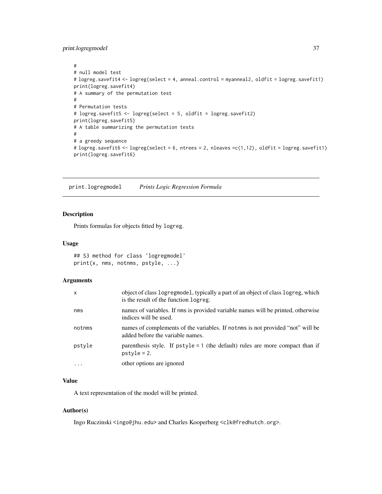<span id="page-36-0"></span>print.logregmodel 37

```
#
# null model test
# logreg.savefit4 <- logreg(select = 4, anneal.control = myanneal2, oldfit = logreg.savefit1)
print(logreg.savefit4)
# A summary of the permutation test
#
# Permutation tests
# logreg.savefit5 <- logreg(select = 5, oldfit = logreg.savefit2)
print(logreg.savefit5)
# A table summarizing the permutation tests
#
# a greedy sequence
# logreg.savefit6 <- logreg(select = 6, ntrees = 2, nleaves =c(1,12), oldfit = logreg.savefit1)
print(logreg.savefit6)
```
<span id="page-36-1"></span>print.logregmodel *Prints Logic Regression Formula*

#### Description

Prints formulas for objects fitted by logreg.

#### Usage

```
## S3 method for class 'logregmodel'
print(x, nms, notnms, pstyle, ...)
```
#### Arguments

| $\mathsf{x}$ | object of class logregmodel, typically a part of an object of class logreg, which<br>is the result of the function logreg. |
|--------------|----------------------------------------------------------------------------------------------------------------------------|
| nms          | names of variables. If nms is provided variable names will be printed, otherwise<br>indices will be used.                  |
| notnms       | names of complements of the variables. If nother is not provided "not" will be<br>added before the variable names.         |
| pstyle       | parenthesis style. If $pstyle = 1$ (the default) rules are more compact than if<br>$pstyle = 2$ .                          |
| $\cdots$     | other options are ignored                                                                                                  |

#### Value

A text representation of the model will be printed.

#### Author(s)

Ingo Ruczinski <ingo@jhu.edu> and Charles Kooperberg <clk@fredhutch.org>.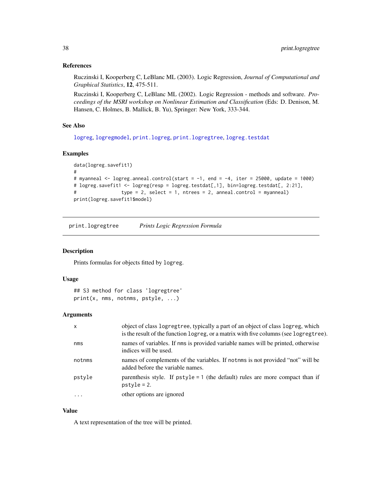#### <span id="page-37-0"></span>References

Ruczinski I, Kooperberg C, LeBlanc ML (2003). Logic Regression, *Journal of Computational and Graphical Statistics*, 12, 475-511.

Ruczinski I, Kooperberg C, LeBlanc ML (2002). Logic Regression - methods and software. *Proceedings of the MSRI workshop on Nonlinear Estimation and Classification* (Eds: D. Denison, M. Hansen, C. Holmes, B. Mallick, B. Yu), Springer: New York, 333-344.

#### See Also

[logreg](#page-5-1), [logregmodel](#page-25-1), [print.logreg](#page-34-1), [print.logregtree](#page-37-1), [logreg.testdat](#page-23-1)

# Examples

```
data(logreg.savefit1)
#
# myanneal <- logreg.anneal.control(start = -1, end = -4, iter = 25000, update = 1000)
# logreg.savefit1 <- logreg(resp = logreg.testdat[,1], bin=logreg.testdat[, 2:21],
# type = 2, select = 1, ntrees = 2, anneal.control = myanneal)
print(logreg.savefit1$model)
```
<span id="page-37-1"></span>print.logregtree *Prints Logic Regression Formula*

# Description

Prints formulas for objects fitted by logreg.

#### Usage

```
## S3 method for class 'logregtree'
print(x, nms, notnms, pstyle, ...)
```
#### Arguments

| $\mathsf{x}$ | object of class logregtree, typically a part of an object of class logreg, which<br>is the result of the function logreg, or a matrix with five columns (see logregtree). |
|--------------|---------------------------------------------------------------------------------------------------------------------------------------------------------------------------|
| nms          | names of variables. If nms is provided variable names will be printed, otherwise<br>indices will be used.                                                                 |
| notnms       | names of complements of the variables. If nother is not provided "not" will be<br>added before the variable names.                                                        |
| pstyle       | parenthesis style. If $pstyle = 1$ (the default) rules are more compact than if<br>$pstyle = 2$ .                                                                         |
| $\ddotsc$    | other options are ignored                                                                                                                                                 |

# Value

A text representation of the tree will be printed.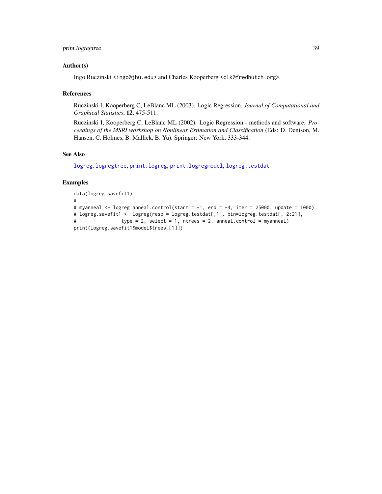# <span id="page-38-0"></span>print.logregtree 39

#### Author(s)

Ingo Ruczinski <ingo@jhu.edu> and Charles Kooperberg <clk@fredhutch.org>.

#### References

Ruczinski I, Kooperberg C, LeBlanc ML (2003). Logic Regression, *Journal of Computational and Graphical Statistics*, 12, 475-511.

Ruczinski I, Kooperberg C, LeBlanc ML (2002). Logic Regression - methods and software. *Proceedings of the MSRI workshop on Nonlinear Estimation and Classification* (Eds: D. Denison, M. Hansen, C. Holmes, B. Mallick, B. Yu), Springer: New York, 333-344.

# See Also

[logreg](#page-5-1), [logregtree](#page-26-1), [print.logreg](#page-34-1), [print.logregmodel](#page-36-1), [logreg.testdat](#page-23-1)

#### Examples

```
data(logreg.savefit1)
#
# myanneal \leq logreg.anneal.control(start = -1, end = -4, iter = 25000, update = 1000)
# logreg.savefit1 <- logreg(resp = logreg.testdat[,1], bin=logreg.testdat[, 2:21],
# type = 2, select = 1, ntrees = 2, anneal.control = myanneal)
print(logreg.savefit1$model$trees[[1]])
```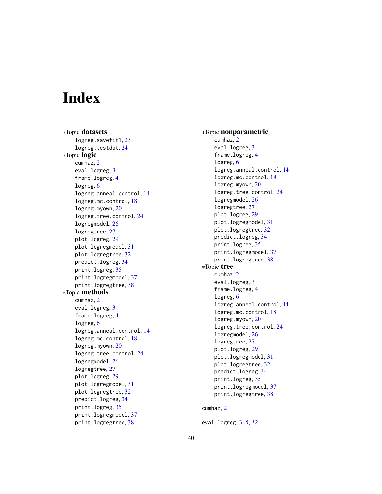# <span id="page-39-0"></span>**Index**

∗Topic datasets logreg.savefit1 , [23](#page-22-0) logreg.testdat, [24](#page-23-0) ∗Topic logic cumhaz , [2](#page-1-0) eval.logreg, [3](#page-2-0) frame.logreg , [4](#page-3-0) logreg , [6](#page-5-0) logreg.anneal.control , [14](#page-13-0) logreg.mc.control , [18](#page-17-0) logreg.myown , [20](#page-19-0) logreg.tree.control, [24](#page-23-0) logregmodel , [26](#page-25-0) logregtree , [27](#page-26-0) plot.logreg , [29](#page-28-0) plot.logregmodel , [31](#page-30-0) plot.logregtree , [32](#page-31-0) predict.logreg , [34](#page-33-0) print.logreg, [35](#page-34-0) print.logregmodel , [37](#page-36-0) print.logregtree , [38](#page-37-0) ∗Topic methods cumhaz , [2](#page-1-0) eval.logreg, [3](#page-2-0) frame.logreg , [4](#page-3-0) logreg , [6](#page-5-0) logreg.anneal.control , [14](#page-13-0) logreg.mc.control , [18](#page-17-0) logreg.myown , [20](#page-19-0) logreg.tree.control, [24](#page-23-0) logregmodel , [26](#page-25-0) logregtree , [27](#page-26-0) plot.logreg , [29](#page-28-0) plot.logregmodel , [31](#page-30-0) plot.logregtree , [32](#page-31-0) predict.logreg , [34](#page-33-0) print.logreg, <mark>[35](#page-34-0)</mark> print.logregmodel , [37](#page-36-0) print.logregtree , [38](#page-37-0)

∗Topic nonparametric cumhaz , [2](#page-1-0) eval.logreg, <mark>[3](#page-2-0)</mark> frame.logreg , [4](#page-3-0) logreg, [6](#page-5-0) logreg.anneal.control , [14](#page-13-0) logreg.mc.control , [18](#page-17-0) logreg.myown , [20](#page-19-0) logreg.tree.control , [24](#page-23-0) logregmodel , [26](#page-25-0) logregtree , [27](#page-26-0) plot.logreg , [29](#page-28-0) plot.logregmodel , [31](#page-30-0) plot.logregtree , [32](#page-31-0) predict.logreg , [34](#page-33-0) print.logreg , [35](#page-34-0) print.logregmodel , [37](#page-36-0) print.logregtree , [38](#page-37-0) ∗Topic tree cumhaz , [2](#page-1-0) eval.logreg, <mark>[3](#page-2-0)</mark> frame.logreg , [4](#page-3-0) logreg, [6](#page-5-0) logreg.anneal.control , [14](#page-13-0) logreg.mc.control , [18](#page-17-0) logreg.myown , [20](#page-19-0) logreg.tree.control, [24](#page-23-0) logregmodel , [26](#page-25-0) logregtree , [27](#page-26-0) plot.logreg , [29](#page-28-0) plot.logregmodel , [31](#page-30-0) plot.logregtree , [32](#page-31-0) predict.logreg , [34](#page-33-0) print.logreg, [35](#page-34-0) print.logregmodel , [37](#page-36-0) print.logregtree , [38](#page-37-0)

#### cumhaz , [2](#page-1-0)

eval.logreg , [3](#page-2-0) , *[5](#page-4-0)* , *[12](#page-11-0)*